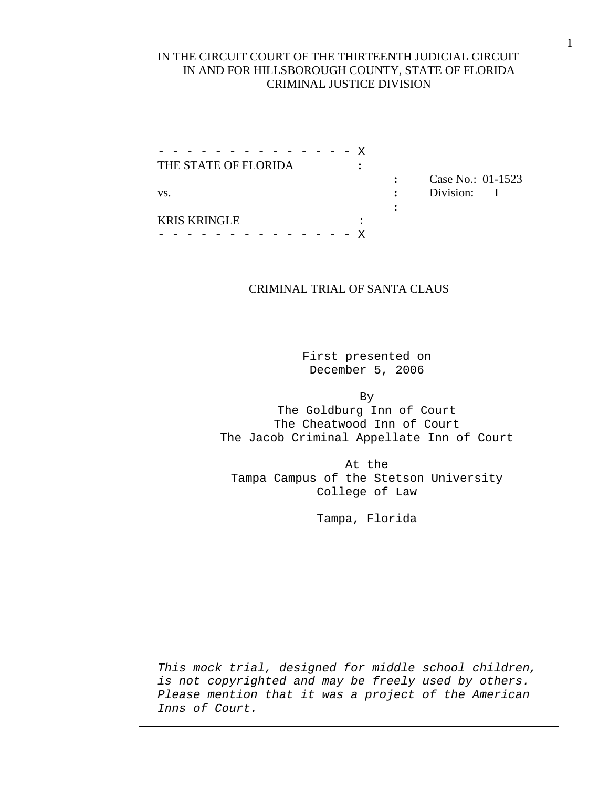## IN THE CIRCUIT COURT OF THE THIRTEENTH JUDICIAL CIRCUIT IN AND FOR HILLSBOROUGH COUNTY, STATE OF FLORIDA CRIMINAL JUSTICE DIVISION

- - - - - - - - - - - - - - X THE STATE OF FLORIDA **:** vs. **:** Division: I **:**  KRIS KRINGLE :

- - - - - - - - - - - - - - X

**:** Case No.: 01-1523

## CRIMINAL TRIAL OF SANTA CLAUS

First presented on December 5, 2006

By The Goldburg Inn of Court The Cheatwood Inn of Court The Jacob Criminal Appellate Inn of Court

At the Tampa Campus of the Stetson University College of Law

Tampa, Florida

*This mock trial, designed for middle school children, is not copyrighted and may be freely used by others. Please mention that it was a project of the American Inns of Court.* 

<u>1 a component de la component de la component de la component de la component de la component de la component </u>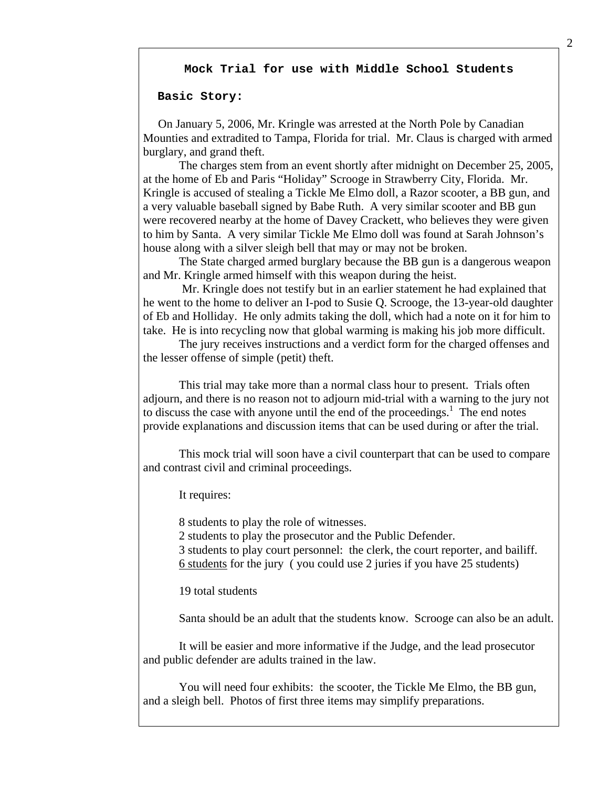#### **Mock Trial for use with Middle School Students**

### **Basic Story:**

 On January 5, 2006, Mr. Kringle was arrested at the North Pole by Canadian Mounties and extradited to Tampa, Florida for trial. Mr. Claus is charged with armed burglary, and grand theft.

 The charges stem from an event shortly after midnight on December 25, 2005, at the home of Eb and Paris "Holiday" Scrooge in Strawberry City, Florida. Mr. Kringle is accused of stealing a Tickle Me Elmo doll, a Razor scooter, a BB gun, and a very valuable baseball signed by Babe Ruth. A very similar scooter and BB gun were recovered nearby at the home of Davey Crackett, who believes they were given to him by Santa. A very similar Tickle Me Elmo doll was found at Sarah Johnson's house along with a silver sleigh bell that may or may not be broken.

 The State charged armed burglary because the BB gun is a dangerous weapon and Mr. Kringle armed himself with this weapon during the heist.

 Mr. Kringle does not testify but in an earlier statement he had explained that he went to the home to deliver an I-pod to Susie Q. Scrooge, the 13-year-old daughter of Eb and Holliday. He only admits taking the doll, which had a note on it for him to take. He is into recycling now that global warming is making his job more difficult.

 The jury receives instructions and a verdict form for the charged offenses and the lesser offense of simple (petit) theft.

 This trial may take more than a normal class hour to present. Trials often adjourn, and there is no reason not to adjourn mid-trial with a warning to the jury not to discuss the case with anyone until the end of the proceedings. $<sup>1</sup>$  The end notes</sup> provide explanations and discussion items that can be used during or after the trial.

 This mock trial will soon have a civil counterpart that can be used to compare and contrast civil and criminal proceedings.

It requires:

8 students to play the role of witnesses.

2 students to play the prosecutor and the Public Defender.

 3 students to play court personnel: the clerk, the court reporter, and bailiff. 6 students for the jury ( you could use 2 juries if you have 25 students)

19 total students

Santa should be an adult that the students know. Scrooge can also be an adult.

 It will be easier and more informative if the Judge, and the lead prosecutor and public defender are adults trained in the law.

 You will need four exhibits: the scooter, the Tickle Me Elmo, the BB gun, and a sleigh bell. Photos of first three items may simplify preparations.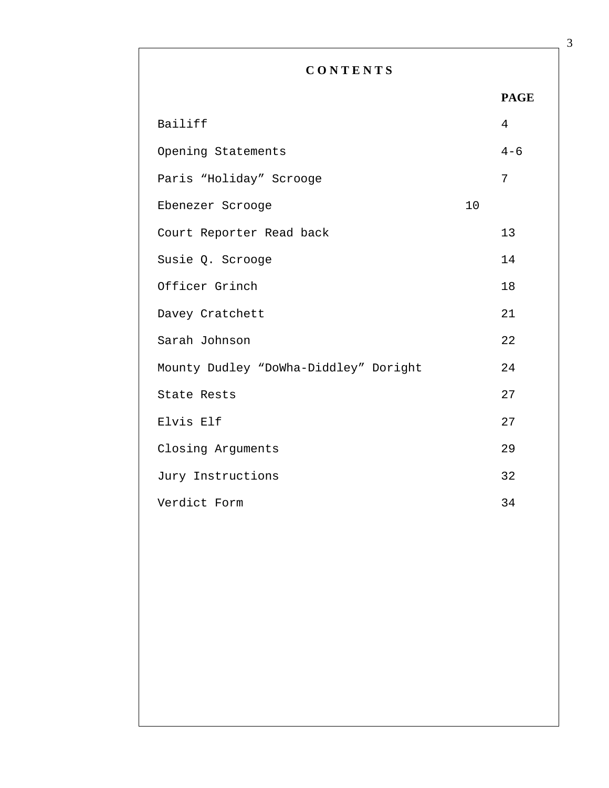# **C O N T E N T S**

| Bailiff                               |    | 4       |
|---------------------------------------|----|---------|
| Opening Statements                    |    | $4 - 6$ |
| Paris "Holiday" Scrooge               |    | 7       |
| Ebenezer Scrooge                      | 10 |         |
| Court Reporter Read back              |    | 13      |
| Susie Q. Scrooge                      |    | 14      |
| Officer Grinch                        |    | 18      |
| Davey Cratchett                       |    | 21      |
| Sarah Johnson                         |    | 22      |
| Mounty Dudley "DoWha-Diddley" Doright |    | 24      |
| State Rests                           |    | 27      |
| Elvis Elf                             |    | 27      |
| Closing Arguments                     |    | 29      |
| Jury Instructions                     |    | 32      |
| Verdict Form                          |    | 34      |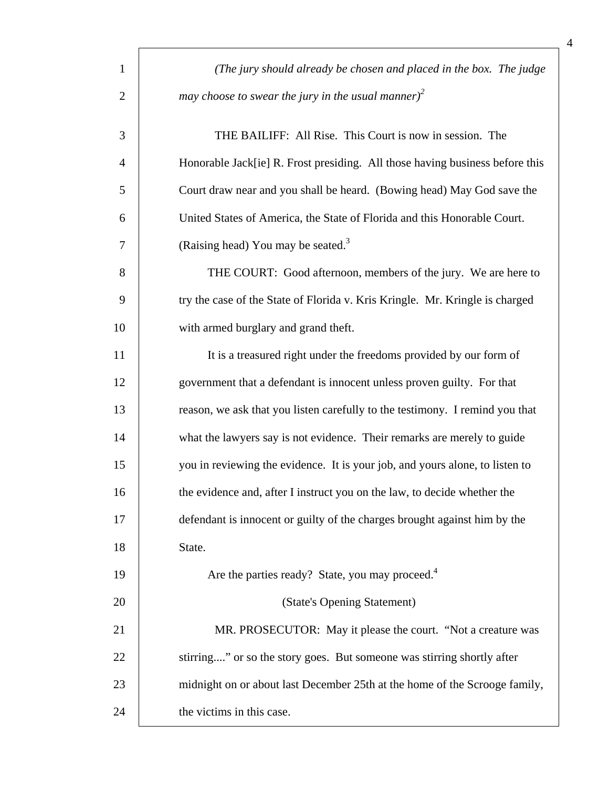| $\mathbf{1}$   | (The jury should already be chosen and placed in the box. The judge          |
|----------------|------------------------------------------------------------------------------|
| $\overline{2}$ | may choose to swear the jury in the usual manner) <sup>2</sup>               |
| 3              | THE BAILIFF: All Rise. This Court is now in session. The                     |
| $\overline{4}$ | Honorable Jack[ie] R. Frost presiding. All those having business before this |
| 5              | Court draw near and you shall be heard. (Bowing head) May God save the       |
| 6              | United States of America, the State of Florida and this Honorable Court.     |
| $\overline{7}$ | (Raising head) You may be seated. <sup>3</sup>                               |
| 8              | THE COURT: Good afternoon, members of the jury. We are here to               |
| 9              | try the case of the State of Florida v. Kris Kringle. Mr. Kringle is charged |
| 10             | with armed burglary and grand theft.                                         |
| 11             | It is a treasured right under the freedoms provided by our form of           |
| 12             | government that a defendant is innocent unless proven guilty. For that       |
| 13             | reason, we ask that you listen carefully to the testimony. I remind you that |
| 14             | what the lawyers say is not evidence. Their remarks are merely to guide      |
| 15             | you in reviewing the evidence. It is your job, and yours alone, to listen to |
| 16             | the evidence and, after I instruct you on the law, to decide whether the     |
| 17             | defendant is innocent or guilty of the charges brought against him by the    |
| 18             | State.                                                                       |
| 19             | Are the parties ready? State, you may proceed. <sup>4</sup>                  |
| 20             | (State's Opening Statement)                                                  |
| 21             | MR. PROSECUTOR: May it please the court. "Not a creature was                 |
| 22             | stirring" or so the story goes. But someone was stirring shortly after       |
| 23             | midnight on or about last December 25th at the home of the Scrooge family,   |
| 24             | the victims in this case.                                                    |

4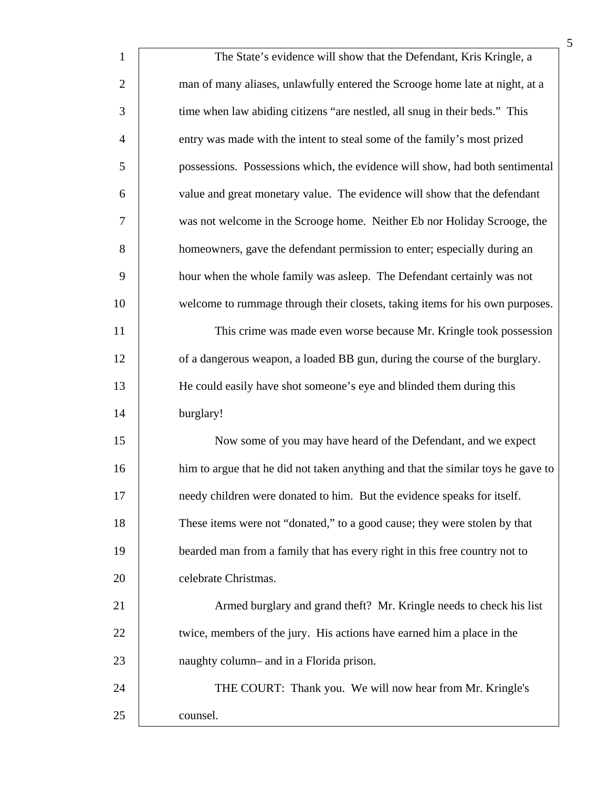| $\mathbf{1}$   | The State's evidence will show that the Defendant, Kris Kringle, a               |
|----------------|----------------------------------------------------------------------------------|
| $\overline{2}$ | man of many aliases, unlawfully entered the Scrooge home late at night, at a     |
| 3              | time when law abiding citizens "are nestled, all snug in their beds." This       |
| $\overline{4}$ | entry was made with the intent to steal some of the family's most prized         |
| 5              | possessions. Possessions which, the evidence will show, had both sentimental     |
| 6              | value and great monetary value. The evidence will show that the defendant        |
| 7              | was not welcome in the Scrooge home. Neither Eb nor Holiday Scrooge, the         |
| 8              | homeowners, gave the defendant permission to enter; especially during an         |
| 9              | hour when the whole family was asleep. The Defendant certainly was not           |
| 10             | welcome to rummage through their closets, taking items for his own purposes.     |
| 11             | This crime was made even worse because Mr. Kringle took possession               |
| 12             | of a dangerous weapon, a loaded BB gun, during the course of the burglary.       |
| 13             | He could easily have shot someone's eye and blinded them during this             |
| 14             | burglary!                                                                        |
| 15             | Now some of you may have heard of the Defendant, and we expect                   |
| 16             | him to argue that he did not taken anything and that the similar toys he gave to |
| 17             | needy children were donated to him. But the evidence speaks for itself.          |
| 18             | These items were not "donated," to a good cause; they were stolen by that        |
| 19             | bearded man from a family that has every right in this free country not to       |
| 20             | celebrate Christmas.                                                             |
| 21             | Armed burglary and grand theft? Mr. Kringle needs to check his list              |
| 22             | twice, members of the jury. His actions have earned him a place in the           |
| 23             | naughty column- and in a Florida prison.                                         |
| 24             | THE COURT: Thank you. We will now hear from Mr. Kringle's                        |
| 25             | counsel.                                                                         |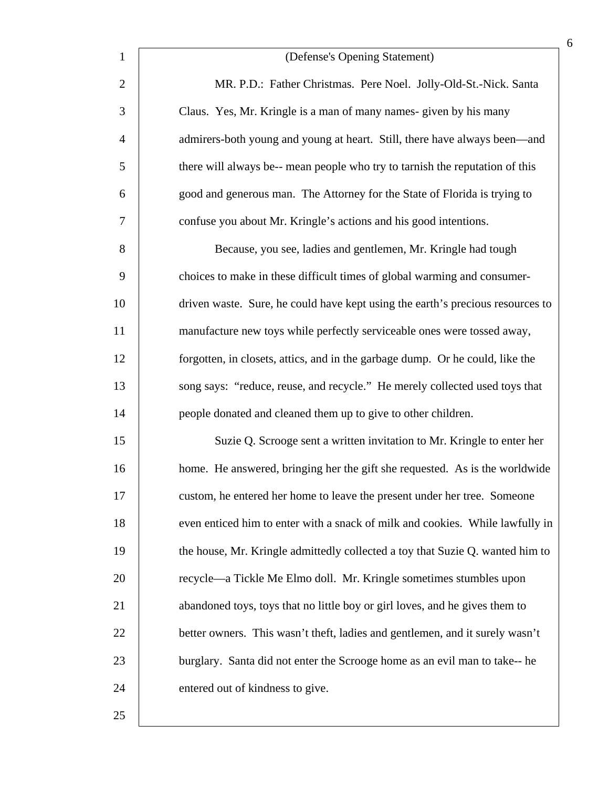| $\mathbf{1}$   | (Defense's Opening Statement)                                                  |
|----------------|--------------------------------------------------------------------------------|
| $\overline{2}$ | MR. P.D.: Father Christmas. Pere Noel. Jolly-Old-St.-Nick. Santa               |
| 3              | Claus. Yes, Mr. Kringle is a man of many names-given by his many               |
| $\overline{4}$ | admirers-both young and young at heart. Still, there have always been—and      |
| 5              | there will always be-- mean people who try to tarnish the reputation of this   |
| 6              | good and generous man. The Attorney for the State of Florida is trying to      |
| $\tau$         | confuse you about Mr. Kringle's actions and his good intentions.               |
| 8              | Because, you see, ladies and gentlemen, Mr. Kringle had tough                  |
| 9              | choices to make in these difficult times of global warming and consumer-       |
| 10             | driven waste. Sure, he could have kept using the earth's precious resources to |
| 11             | manufacture new toys while perfectly serviceable ones were tossed away,        |
| 12             | forgotten, in closets, attics, and in the garbage dump. Or he could, like the  |
| 13             | song says: "reduce, reuse, and recycle." He merely collected used toys that    |
| 14             | people donated and cleaned them up to give to other children.                  |
| 15             | Suzie Q. Scrooge sent a written invitation to Mr. Kringle to enter her         |
| 16             | home. He answered, bringing her the gift she requested. As is the worldwide    |
| 17             | custom, he entered her home to leave the present under her tree. Someone       |
| 18             | even enticed him to enter with a snack of milk and cookies. While lawfully in  |
| 19             | the house, Mr. Kringle admittedly collected a toy that Suzie Q. wanted him to  |
| 20             | recycle—a Tickle Me Elmo doll. Mr. Kringle sometimes stumbles upon             |
| 21             | abandoned toys, toys that no little boy or girl loves, and he gives them to    |
| 22             | better owners. This wasn't theft, ladies and gentlemen, and it surely wasn't   |
| 23             | burglary. Santa did not enter the Scrooge home as an evil man to take-- he     |
| 24             | entered out of kindness to give.                                               |
| 25             |                                                                                |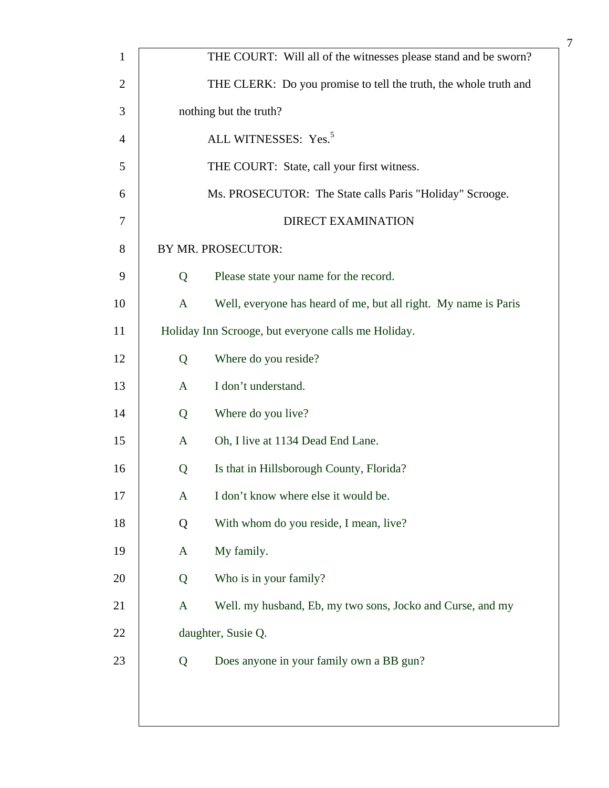| $\mathbf{1}$   | THE COURT: Will all of the witnesses please stand and be sworn?                 |
|----------------|---------------------------------------------------------------------------------|
| $\overline{c}$ | THE CLERK: Do you promise to tell the truth, the whole truth and                |
| 3              | nothing but the truth?                                                          |
| $\overline{4}$ | ALL WITNESSES: Yes. <sup>5</sup>                                                |
| 5              | THE COURT: State, call your first witness.                                      |
| 6              | Ms. PROSECUTOR: The State calls Paris "Holiday" Scrooge.                        |
| 7              | <b>DIRECT EXAMINATION</b>                                                       |
| 8              | BY MR. PROSECUTOR:                                                              |
| 9              | Please state your name for the record.<br>Q                                     |
| 10             | Well, everyone has heard of me, but all right. My name is Paris<br>$\mathbf{A}$ |
| 11             | Holiday Inn Scrooge, but everyone calls me Holiday.                             |
| 12             | Where do you reside?<br>Q                                                       |
| 13             | I don't understand.<br>$\mathbf{A}$                                             |
| 14             | Where do you live?<br>Q                                                         |
| 15             | Oh, I live at 1134 Dead End Lane.<br>A                                          |
| 16             | Is that in Hillsborough County, Florida?<br>Q                                   |
| 17             | I don't know where else it would be.<br>A                                       |
| 18             | With whom do you reside, I mean, live?<br>Q                                     |
| 19             | My family.<br>A                                                                 |
| 20             | Who is in your family?<br>Q                                                     |
| 21             | Well. my husband, Eb, my two sons, Jocko and Curse, and my<br>A                 |
| 22             | daughter, Susie Q.                                                              |
| 23             | Does anyone in your family own a BB gun?<br>Q                                   |
|                |                                                                                 |
|                |                                                                                 |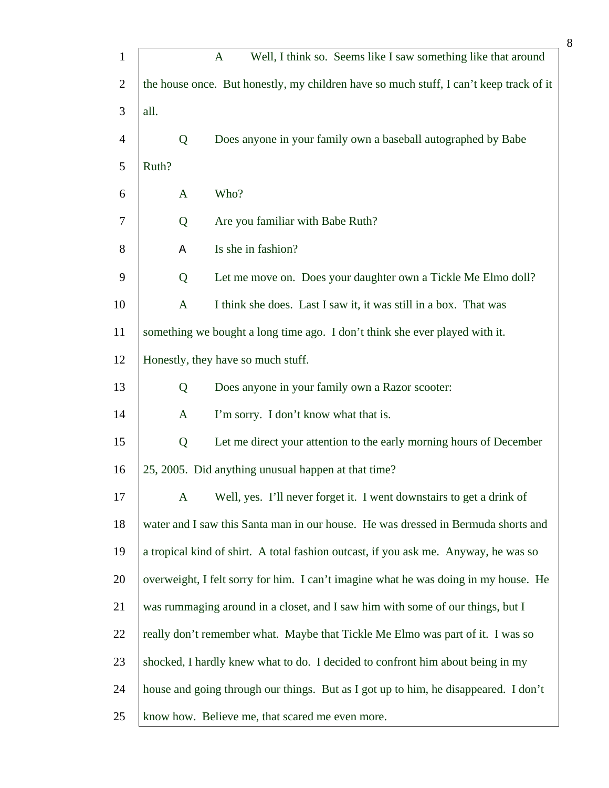| $\mathbf{1}$   |              | Well, I think so. Seems like I saw something like that around<br>$\mathbf{A}$          |
|----------------|--------------|----------------------------------------------------------------------------------------|
| $\overline{2}$ |              | the house once. But honestly, my children have so much stuff, I can't keep track of it |
| 3              | all.         |                                                                                        |
| $\overline{4}$ | Q            | Does anyone in your family own a baseball autographed by Babe                          |
| 5              | Ruth?        |                                                                                        |
| 6              | $\mathbf{A}$ | Who?                                                                                   |
| 7              | Q            | Are you familiar with Babe Ruth?                                                       |
| 8              | Α            | Is she in fashion?                                                                     |
| 9              | Q            | Let me move on. Does your daughter own a Tickle Me Elmo doll?                          |
| 10             | $\mathbf{A}$ | I think she does. Last I saw it, it was still in a box. That was                       |
| 11             |              | something we bought a long time ago. I don't think she ever played with it.            |
| 12             |              | Honestly, they have so much stuff.                                                     |
| 13             | Q            | Does anyone in your family own a Razor scooter:                                        |
| 14             | $\mathbf{A}$ | I'm sorry. I don't know what that is.                                                  |
| 15             | Q            | Let me direct your attention to the early morning hours of December                    |
| 16             |              | 25, 2005. Did anything unusual happen at that time?                                    |
| 17             | $\mathbf{A}$ | Well, yes. I'll never forget it. I went downstairs to get a drink of                   |
| 18             |              | water and I saw this Santa man in our house. He was dressed in Bermuda shorts and      |
| 19             |              | a tropical kind of shirt. A total fashion outcast, if you ask me. Anyway, he was so    |
| 20             |              | overweight, I felt sorry for him. I can't imagine what he was doing in my house. He    |
| 21             |              | was rummaging around in a closet, and I saw him with some of our things, but I         |
| 22             |              | really don't remember what. Maybe that Tickle Me Elmo was part of it. I was so         |
| 23             |              | shocked, I hardly knew what to do. I decided to confront him about being in my         |
| 24             |              | house and going through our things. But as I got up to him, he disappeared. I don't    |
| 25             |              | know how. Believe me, that scared me even more.                                        |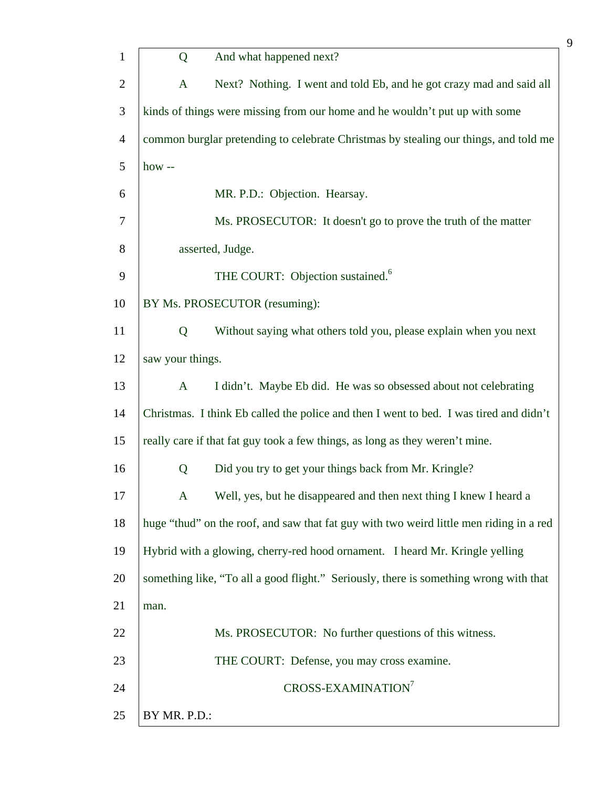| $\mathbf{1}$   | Q                | And what happened next?                                                                 |
|----------------|------------------|-----------------------------------------------------------------------------------------|
| $\overline{2}$ | $\mathbf{A}$     | Next? Nothing. I went and told Eb, and he got crazy mad and said all                    |
| 3              |                  | kinds of things were missing from our home and he wouldn't put up with some             |
| $\overline{4}$ |                  | common burglar pretending to celebrate Christmas by stealing our things, and told me    |
| 5              | how $-$          |                                                                                         |
| 6              |                  | MR. P.D.: Objection. Hearsay.                                                           |
| $\overline{7}$ |                  | Ms. PROSECUTOR: It doesn't go to prove the truth of the matter                          |
| 8              |                  | asserted, Judge.                                                                        |
| 9              |                  | THE COURT: Objection sustained. <sup>6</sup>                                            |
| 10             |                  | BY Ms. PROSECUTOR (resuming):                                                           |
| 11             | Q                | Without saying what others told you, please explain when you next                       |
| 12             | saw your things. |                                                                                         |
| 13             | $\mathbf{A}$     | I didn't. Maybe Eb did. He was so obsessed about not celebrating                        |
| 14             |                  | Christmas. I think Eb called the police and then I went to bed. I was tired and didn't  |
| 15             |                  | really care if that fat guy took a few things, as long as they weren't mine.            |
| 16             | Q                | Did you try to get your things back from Mr. Kringle?                                   |
| 17             | $\mathbf{A}$     | Well, yes, but he disappeared and then next thing I knew I heard a                      |
| 18             |                  | huge "thud" on the roof, and saw that fat guy with two weird little men riding in a red |
| 19             |                  | Hybrid with a glowing, cherry-red hood ornament. I heard Mr. Kringle yelling            |
| 20             |                  | something like, "To all a good flight." Seriously, there is something wrong with that   |
| 21             | man.             |                                                                                         |
| 22             |                  | Ms. PROSECUTOR: No further questions of this witness.                                   |
| 23             |                  | THE COURT: Defense, you may cross examine.                                              |
| 24             |                  | CROSS-EXAMINATION <sup>7</sup>                                                          |
| 25             | BY MR. P.D.:     |                                                                                         |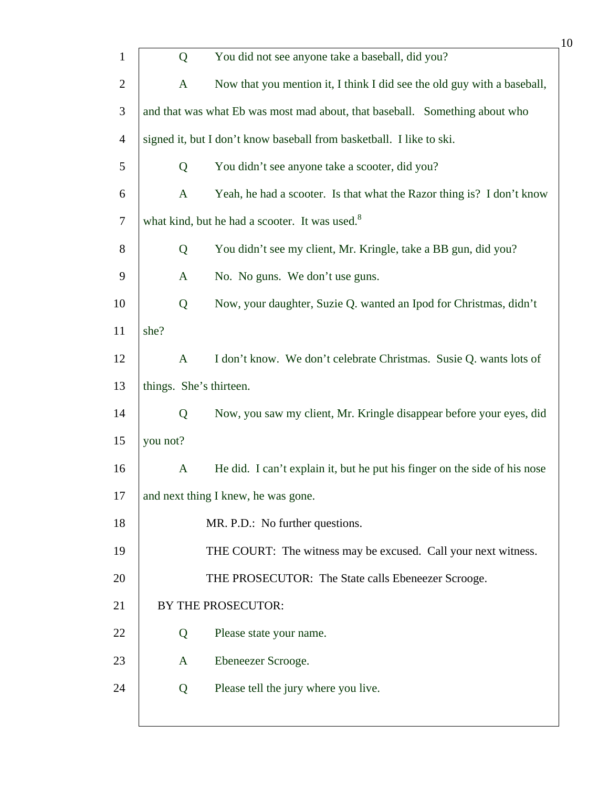| $\mathbf{1}$   | Q                       | You did not see anyone take a baseball, did you?                            |
|----------------|-------------------------|-----------------------------------------------------------------------------|
| $\overline{c}$ | A                       | Now that you mention it, I think I did see the old guy with a baseball,     |
| 3              |                         | and that was what Eb was most mad about, that baseball. Something about who |
| $\overline{4}$ |                         | signed it, but I don't know baseball from basketball. I like to ski.        |
| 5              | Q                       | You didn't see anyone take a scooter, did you?                              |
| 6              | $\mathbf{A}$            | Yeah, he had a scooter. Is that what the Razor thing is? I don't know       |
| 7              |                         | what kind, but he had a scooter. It was used. <sup>8</sup>                  |
| 8              | Q                       | You didn't see my client, Mr. Kringle, take a BB gun, did you?              |
| 9              | $\mathbf{A}$            | No. No guns. We don't use guns.                                             |
| 10             | Q                       | Now, your daughter, Suzie Q. wanted an Ipod for Christmas, didn't           |
| 11             | she?                    |                                                                             |
| 12             | $\mathbf{A}$            | I don't know. We don't celebrate Christmas. Susie Q. wants lots of          |
| 13             | things. She's thirteen. |                                                                             |
| 14             | Q                       | Now, you saw my client, Mr. Kringle disappear before your eyes, did         |
| 15             | you not?                |                                                                             |
| 16             | $\mathbf{A}$            | He did. I can't explain it, but he put his finger on the side of his nose   |
| 17             |                         | and next thing I knew, he was gone.                                         |
| 18             |                         | MR. P.D.: No further questions.                                             |
| 19             |                         | THE COURT: The witness may be excused. Call your next witness.              |
| 20             |                         | THE PROSECUTOR: The State calls Ebeneezer Scrooge.                          |
| 21             |                         | <b>BY THE PROSECUTOR:</b>                                                   |
| 22             | Q                       | Please state your name.                                                     |
| 23             | A                       | Ebeneezer Scrooge.                                                          |
| 24             | Q                       | Please tell the jury where you live.                                        |
|                |                         |                                                                             |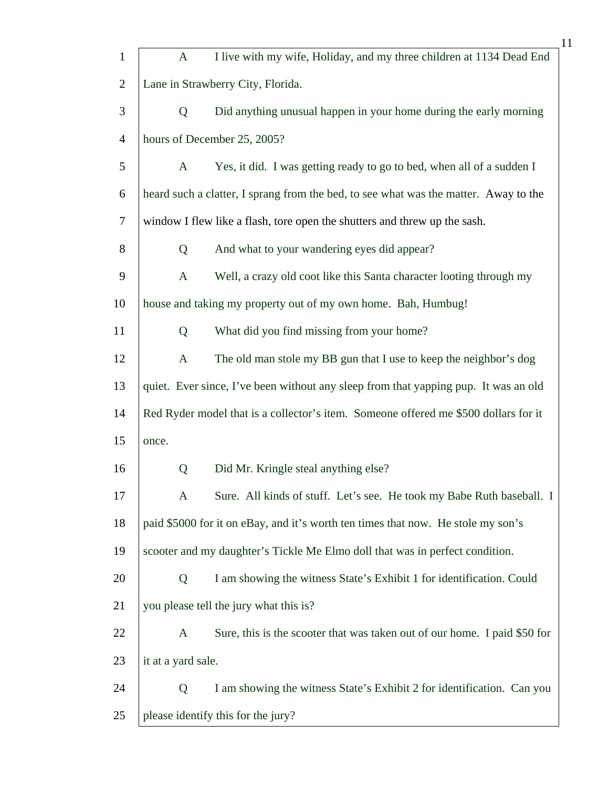|                |                                   | 11                                                                                   |  |
|----------------|-----------------------------------|--------------------------------------------------------------------------------------|--|
| $\mathbf{1}$   | $\mathbf{A}$                      | I live with my wife, Holiday, and my three children at 1134 Dead End                 |  |
| $\overline{c}$ | Lane in Strawberry City, Florida. |                                                                                      |  |
| 3              | Q                                 | Did anything unusual happen in your home during the early morning                    |  |
| $\overline{4}$ |                                   | hours of December 25, 2005?                                                          |  |
| 5              | A                                 | Yes, it did. I was getting ready to go to bed, when all of a sudden I                |  |
| 6              |                                   | heard such a clatter, I sprang from the bed, to see what was the matter. Away to the |  |
| 7              |                                   | window I flew like a flash, tore open the shutters and threw up the sash.            |  |
| 8              | Q                                 | And what to your wandering eyes did appear?                                          |  |
| 9              | $\mathbf{A}$                      | Well, a crazy old coot like this Santa character looting through my                  |  |
| 10             |                                   | house and taking my property out of my own home. Bah, Humbug!                        |  |
| 11             | Q                                 | What did you find missing from your home?                                            |  |
| 12             | $\mathbf{A}$                      | The old man stole my BB gun that I use to keep the neighbor's dog                    |  |
| 13             |                                   | quiet. Ever since, I've been without any sleep from that yapping pup. It was an old  |  |
| 14             |                                   | Red Ryder model that is a collector's item. Someone offered me \$500 dollars for it  |  |
| 15             | once.                             |                                                                                      |  |
| 16             | Q                                 | Did Mr. Kringle steal anything else?                                                 |  |
| 17             | A                                 | Sure. All kinds of stuff. Let's see. He took my Babe Ruth baseball. I                |  |
| 18             |                                   | paid \$5000 for it on eBay, and it's worth ten times that now. He stole my son's     |  |
| 19             |                                   | scooter and my daughter's Tickle Me Elmo doll that was in perfect condition.         |  |
| 20             | Q                                 | I am showing the witness State's Exhibit 1 for identification. Could                 |  |
| 21             |                                   | you please tell the jury what this is?                                               |  |
| 22             | $\mathbf{A}$                      | Sure, this is the scooter that was taken out of our home. I paid \$50 for            |  |
| 23             | it at a yard sale.                |                                                                                      |  |
| 24             | Q                                 | I am showing the witness State's Exhibit 2 for identification. Can you               |  |
| 25             |                                   | please identify this for the jury?                                                   |  |
|                |                                   |                                                                                      |  |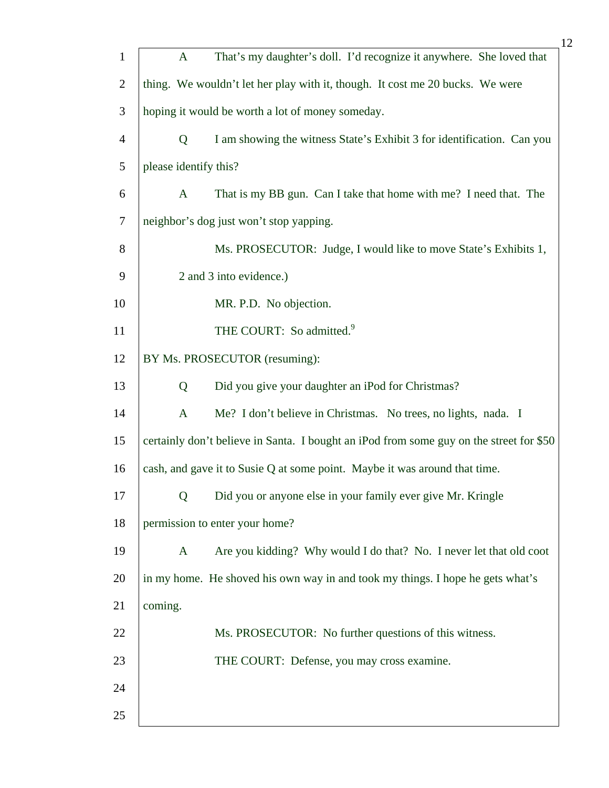|                |         |                       | 12                                                                                      |
|----------------|---------|-----------------------|-----------------------------------------------------------------------------------------|
| $\mathbf{1}$   |         | $\mathbf{A}$          | That's my daughter's doll. I'd recognize it anywhere. She loved that                    |
| $\overline{2}$ |         |                       | thing. We wouldn't let her play with it, though. It cost me 20 bucks. We were           |
| 3              |         |                       | hoping it would be worth a lot of money someday.                                        |
| $\overline{4}$ |         | $\mathbf Q$           | I am showing the witness State's Exhibit 3 for identification. Can you                  |
| 5              |         | please identify this? |                                                                                         |
| 6              |         | $\mathbf{A}$          | That is my BB gun. Can I take that home with me? I need that. The                       |
| $\tau$         |         |                       | neighbor's dog just won't stop yapping.                                                 |
| 8              |         |                       | Ms. PROSECUTOR: Judge, I would like to move State's Exhibits 1,                         |
| 9              |         |                       | 2 and 3 into evidence.)                                                                 |
| 10             |         |                       | MR. P.D. No objection.                                                                  |
| 11             |         |                       | THE COURT: So admitted. <sup>9</sup>                                                    |
| 12             |         |                       | BY Ms. PROSECUTOR (resuming):                                                           |
| 13             |         | Q                     | Did you give your daughter an iPod for Christmas?                                       |
| 14             |         | $\mathbf{A}$          | Me? I don't believe in Christmas. No trees, no lights, nada. I                          |
| 15             |         |                       | certainly don't believe in Santa. I bought an iPod from some guy on the street for \$50 |
| 16             |         |                       | cash, and gave it to Susie Q at some point. Maybe it was around that time.              |
| 17             |         | Q                     | Did you or anyone else in your family ever give Mr. Kringle                             |
| 18             |         |                       | permission to enter your home?                                                          |
| 19             |         | $\mathbf{A}$          | Are you kidding? Why would I do that? No. I never let that old coot                     |
| 20             |         |                       | in my home. He shoved his own way in and took my things. I hope he gets what's          |
| 21             | coming. |                       |                                                                                         |
| 22             |         |                       | Ms. PROSECUTOR: No further questions of this witness.                                   |
| 23             |         |                       | THE COURT: Defense, you may cross examine.                                              |
| 24             |         |                       |                                                                                         |
| 25             |         |                       |                                                                                         |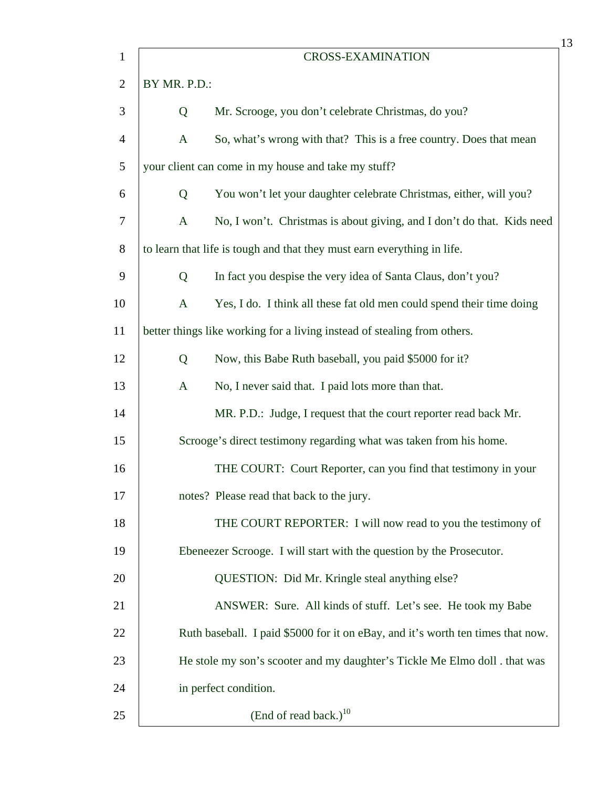| $\mathbf{1}$   |              | <b>CROSS-EXAMINATION</b>                                                        |
|----------------|--------------|---------------------------------------------------------------------------------|
| $\overline{2}$ | BY MR. P.D.: |                                                                                 |
| 3              | Q            | Mr. Scrooge, you don't celebrate Christmas, do you?                             |
| $\overline{4}$ | $\mathbf{A}$ | So, what's wrong with that? This is a free country. Does that mean              |
| 5              |              | your client can come in my house and take my stuff?                             |
| 6              | Q            | You won't let your daughter celebrate Christmas, either, will you?              |
| $\tau$         | $\mathbf{A}$ | No, I won't. Christmas is about giving, and I don't do that. Kids need          |
| 8              |              | to learn that life is tough and that they must earn everything in life.         |
| 9              | Q            | In fact you despise the very idea of Santa Claus, don't you?                    |
| 10             | $\mathbf{A}$ | Yes, I do. I think all these fat old men could spend their time doing           |
| 11             |              | better things like working for a living instead of stealing from others.        |
| 12             | Q            | Now, this Babe Ruth baseball, you paid \$5000 for it?                           |
| 13             | $\mathbf{A}$ | No, I never said that. I paid lots more than that.                              |
| 14             |              | MR. P.D.: Judge, I request that the court reporter read back Mr.                |
| 15             |              | Scrooge's direct testimony regarding what was taken from his home.              |
| 16             |              | THE COURT: Court Reporter, can you find that testimony in your                  |
| 17             |              | notes? Please read that back to the jury.                                       |
| 18             |              | THE COURT REPORTER: I will now read to you the testimony of                     |
| 19             |              | Ebeneezer Scrooge. I will start with the question by the Prosecutor.            |
| 20             |              | QUESTION: Did Mr. Kringle steal anything else?                                  |
| 21             |              | ANSWER: Sure. All kinds of stuff. Let's see. He took my Babe                    |
| 22             |              | Ruth baseball. I paid \$5000 for it on eBay, and it's worth ten times that now. |
| 23             |              | He stole my son's scooter and my daughter's Tickle Me Elmo doll . that was      |
| 24             |              | in perfect condition.                                                           |
| 25             |              | (End of read back.) $^{10}$                                                     |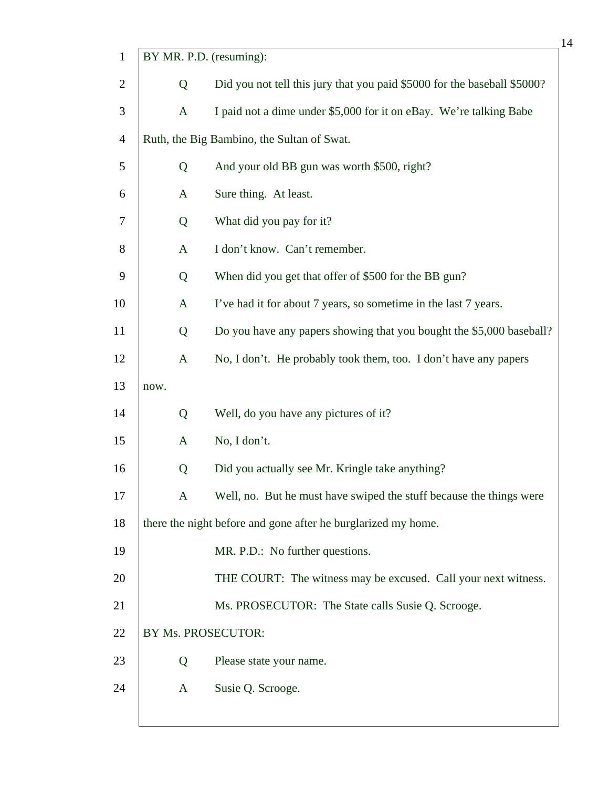| $\mathbf{1}$   | BY MR. P.D. (resuming): |                                                                          |
|----------------|-------------------------|--------------------------------------------------------------------------|
| $\overline{c}$ | Q                       | Did you not tell this jury that you paid \$5000 for the baseball \$5000? |
| 3              | $\mathbf{A}$            | I paid not a dime under \$5,000 for it on eBay. We're talking Babe       |
| $\overline{4}$ |                         | Ruth, the Big Bambino, the Sultan of Swat.                               |
| 5              | Q                       | And your old BB gun was worth \$500, right?                              |
| 6              | $\mathbf{A}$            | Sure thing. At least.                                                    |
| 7              | Q                       | What did you pay for it?                                                 |
| 8              | $\mathbf{A}$            | I don't know. Can't remember.                                            |
| 9              | Q                       | When did you get that offer of \$500 for the BB gun?                     |
| 10             | A                       | I've had it for about 7 years, so sometime in the last 7 years.          |
| 11             | Q                       | Do you have any papers showing that you bought the \$5,000 baseball?     |
| 12             | $\mathbf{A}$            | No, I don't. He probably took them, too. I don't have any papers         |
| 13             | now.                    |                                                                          |
| 14             | Q                       | Well, do you have any pictures of it?                                    |
| 15             | A                       | No, I don't.                                                             |
| 16             | Q                       | Did you actually see Mr. Kringle take anything?                          |
| 17             | $\mathbf{A}$            | Well, no. But he must have swiped the stuff because the things were      |
| 18             |                         | there the night before and gone after he burglarized my home.            |
| 19             |                         | MR. P.D.: No further questions.                                          |
| 20             |                         | THE COURT: The witness may be excused. Call your next witness.           |
| 21             |                         | Ms. PROSECUTOR: The State calls Susie Q. Scrooge.                        |
| 22             | BY Ms. PROSECUTOR:      |                                                                          |
| 23             | Q                       | Please state your name.                                                  |
| 24             | A                       | Susie Q. Scrooge.                                                        |
|                |                         |                                                                          |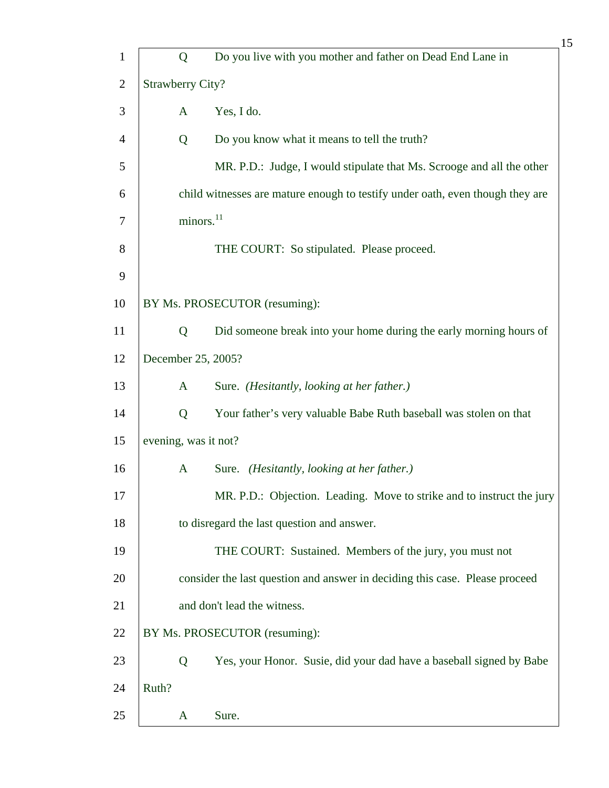|       | Q            | Do you live with you mother and father on Dead End Lane in                                     |
|-------|--------------|------------------------------------------------------------------------------------------------|
|       |              |                                                                                                |
|       |              |                                                                                                |
|       | A            | Yes, I do.                                                                                     |
|       | Q            | Do you know what it means to tell the truth?                                                   |
|       |              | MR. P.D.: Judge, I would stipulate that Ms. Scrooge and all the other                          |
|       |              | child witnesses are mature enough to testify under oath, even though they are                  |
|       |              |                                                                                                |
|       |              | THE COURT: So stipulated. Please proceed.                                                      |
|       |              |                                                                                                |
|       |              | BY Ms. PROSECUTOR (resuming):                                                                  |
|       | Q            | Did someone break into your home during the early morning hours of                             |
|       |              |                                                                                                |
|       | A            | Sure. (Hesitantly, looking at her father.)                                                     |
|       | Q            | Your father's very valuable Babe Ruth baseball was stolen on that                              |
|       |              |                                                                                                |
|       | $\mathbf{A}$ | Sure. (Hesitantly, looking at her father.)                                                     |
|       |              | MR. P.D.: Objection. Leading. Move to strike and to instruct the jury                          |
|       |              | to disregard the last question and answer.                                                     |
|       |              | THE COURT: Sustained. Members of the jury, you must not                                        |
|       |              | consider the last question and answer in deciding this case. Please proceed                    |
|       |              | and don't lead the witness.                                                                    |
|       |              | BY Ms. PROSECUTOR (resuming):                                                                  |
|       | Q            | Yes, your Honor. Susie, did your dad have a baseball signed by Babe                            |
| Ruth? |              |                                                                                                |
|       | A            | Sure.                                                                                          |
|       |              | <b>Strawberry City?</b><br>minors. <sup>11</sup><br>December 25, 2005?<br>evening, was it not? |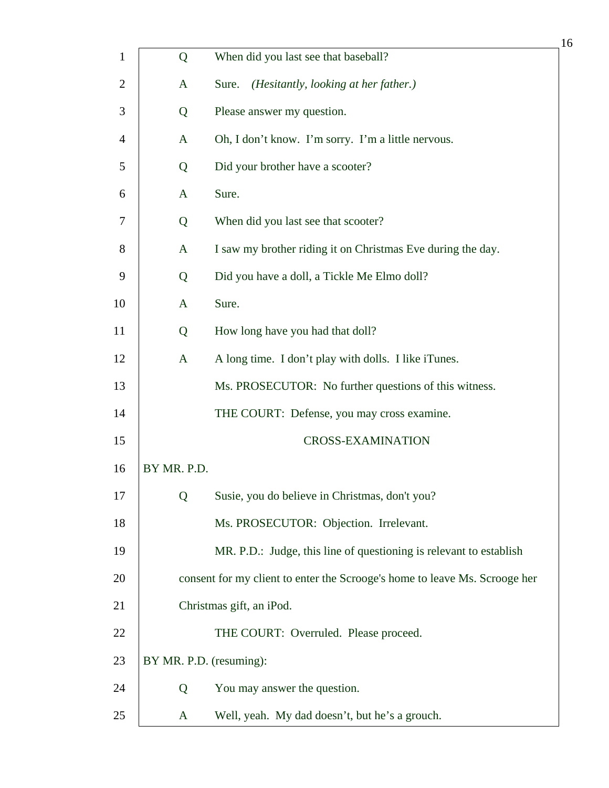|                |                         |                                                                            | 16 |
|----------------|-------------------------|----------------------------------------------------------------------------|----|
| $\mathbf{1}$   | Q                       | When did you last see that baseball?                                       |    |
| $\overline{2}$ | A                       | (Hesitantly, looking at her father.)<br>Sure.                              |    |
| 3              | Q                       | Please answer my question.                                                 |    |
| 4              | A                       | Oh, I don't know. I'm sorry. I'm a little nervous.                         |    |
| 5              | Q                       | Did your brother have a scooter?                                           |    |
| 6              | $\mathbf{A}$            | Sure.                                                                      |    |
| 7              | Q                       | When did you last see that scooter?                                        |    |
| 8              | A                       | I saw my brother riding it on Christmas Eve during the day.                |    |
| 9              | Q                       | Did you have a doll, a Tickle Me Elmo doll?                                |    |
| 10             | A                       | Sure.                                                                      |    |
| 11             | Q                       | How long have you had that doll?                                           |    |
| 12             | $\mathbf{A}$            | A long time. I don't play with dolls. I like iTunes.                       |    |
| 13             |                         | Ms. PROSECUTOR: No further questions of this witness.                      |    |
| 14             |                         | THE COURT: Defense, you may cross examine.                                 |    |
| 15             |                         | <b>CROSS-EXAMINATION</b>                                                   |    |
| 16             | BY MR. P.D.             |                                                                            |    |
| 17             | Q                       | Susie, you do believe in Christmas, don't you?                             |    |
| 18             |                         | Ms. PROSECUTOR: Objection. Irrelevant.                                     |    |
| 19             |                         | MR. P.D.: Judge, this line of questioning is relevant to establish         |    |
| 20             |                         | consent for my client to enter the Scrooge's home to leave Ms. Scrooge her |    |
| 21             |                         | Christmas gift, an iPod.                                                   |    |
| 22             |                         | THE COURT: Overruled. Please proceed.                                      |    |
| 23             | BY MR. P.D. (resuming): |                                                                            |    |
| 24             | Q                       | You may answer the question.                                               |    |
| 25             | A                       | Well, yeah. My dad doesn't, but he's a grouch.                             |    |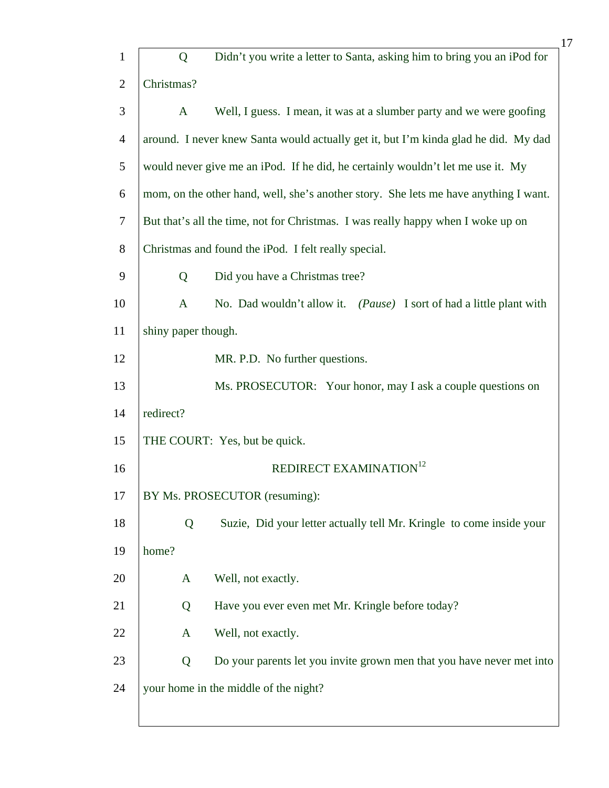|                |                     | 17                                                                                   |
|----------------|---------------------|--------------------------------------------------------------------------------------|
| $\mathbf{1}$   | Q                   | Didn't you write a letter to Santa, asking him to bring you an iPod for              |
| $\overline{2}$ | Christmas?          |                                                                                      |
| 3              | $\mathbf{A}$        | Well, I guess. I mean, it was at a slumber party and we were goofing                 |
| $\overline{4}$ |                     | around. I never knew Santa would actually get it, but I'm kinda glad he did. My dad  |
| 5              |                     | would never give me an iPod. If he did, he certainly wouldn't let me use it. My      |
| 6              |                     | mom, on the other hand, well, she's another story. She lets me have anything I want. |
| $\overline{7}$ |                     | But that's all the time, not for Christmas. I was really happy when I woke up on     |
| 8              |                     | Christmas and found the iPod. I felt really special.                                 |
| 9              | Q                   | Did you have a Christmas tree?                                                       |
| 10             | $\mathbf{A}$        | No. Dad wouldn't allow it. (Pause) I sort of had a little plant with                 |
| 11             | shiny paper though. |                                                                                      |
| 12             |                     | MR. P.D. No further questions.                                                       |
| 13             |                     | Ms. PROSECUTOR: Your honor, may I ask a couple questions on                          |
| 14             | redirect?           |                                                                                      |
| 15             |                     | THE COURT: Yes, but be quick.                                                        |
| 16             |                     | REDIRECT EXAMINATION <sup>12</sup>                                                   |
| 17             |                     | BY Ms. PROSECUTOR (resuming):                                                        |
| 18             | Q                   | Suzie, Did your letter actually tell Mr. Kringle to come inside your                 |
| 19             | home?               |                                                                                      |
| 20             | A                   | Well, not exactly.                                                                   |
| 21             | Q                   | Have you ever even met Mr. Kringle before today?                                     |
| 22             | A                   | Well, not exactly.                                                                   |
| 23             | Q                   | Do your parents let you invite grown men that you have never met into                |
| 24             |                     | your home in the middle of the night?                                                |
|                |                     |                                                                                      |

L

 $\overline{\phantom{a}}$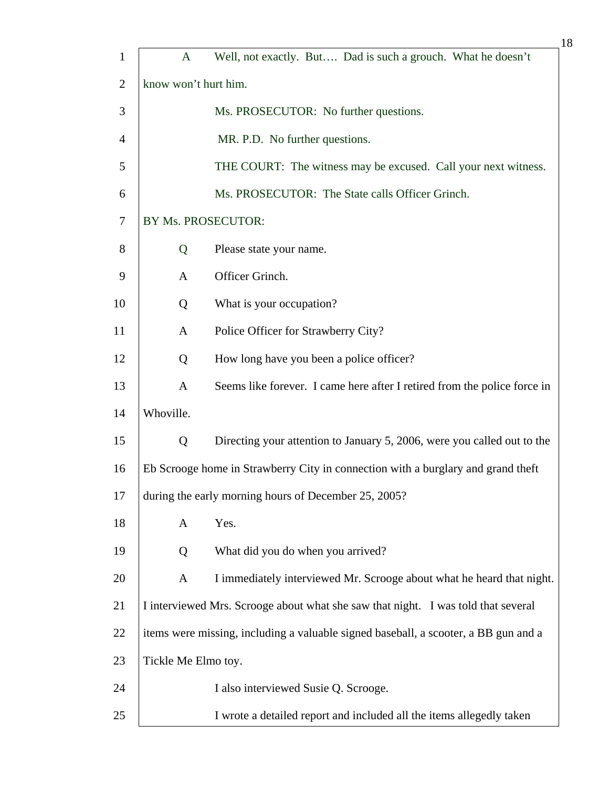| $\mathbf{1}$   | $\mathbf{A}$         | Well, not exactly. But Dad is such a grouch. What he doesn't                        |
|----------------|----------------------|-------------------------------------------------------------------------------------|
| $\overline{2}$ | know won't hurt him. |                                                                                     |
| 3              |                      | Ms. PROSECUTOR: No further questions.                                               |
| $\overline{4}$ |                      | MR. P.D. No further questions.                                                      |
| 5              |                      | THE COURT: The witness may be excused. Call your next witness.                      |
| 6              |                      | Ms. PROSECUTOR: The State calls Officer Grinch.                                     |
| 7              |                      | BY Ms. PROSECUTOR:                                                                  |
| 8              | Q                    | Please state your name.                                                             |
| 9              | A                    | Officer Grinch.                                                                     |
| 10             | Q                    | What is your occupation?                                                            |
| 11             | A                    | Police Officer for Strawberry City?                                                 |
| 12             | Q                    | How long have you been a police officer?                                            |
| 13             | $\mathbf{A}$         | Seems like forever. I came here after I retired from the police force in            |
| 14             | Whoville.            |                                                                                     |
| 15             | Q                    | Directing your attention to January 5, 2006, were you called out to the             |
| 16             |                      | Eb Scrooge home in Strawberry City in connection with a burglary and grand theft    |
| 17             |                      | during the early morning hours of December 25, 2005?                                |
| 18             | A                    | Yes.                                                                                |
| 19             | Q                    | What did you do when you arrived?                                                   |
| 20             | A                    | I immediately interviewed Mr. Scrooge about what he heard that night.               |
| 21             |                      | I interviewed Mrs. Scrooge about what she saw that night. I was told that several   |
| 22             |                      | items were missing, including a valuable signed baseball, a scooter, a BB gun and a |
| 23             | Tickle Me Elmo toy.  |                                                                                     |
| 24             |                      | I also interviewed Susie Q. Scrooge.                                                |
| 25             |                      | I wrote a detailed report and included all the items allegedly taken                |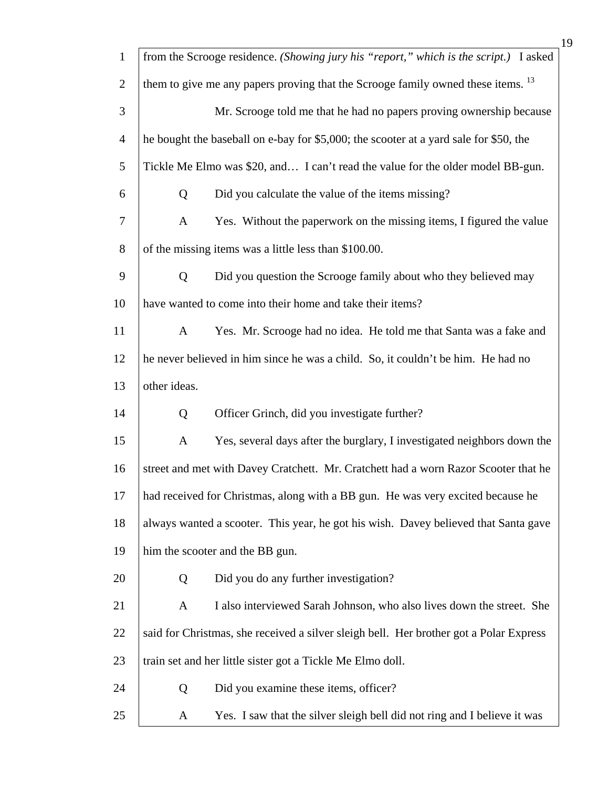| $\mathbf{1}$   |              | from the Scrooge residence. (Showing jury his "report," which is the script.) I asked       |
|----------------|--------------|---------------------------------------------------------------------------------------------|
| $\overline{2}$ |              | them to give me any papers proving that the Scrooge family owned these items. <sup>13</sup> |
| 3              |              | Mr. Scrooge told me that he had no papers proving ownership because                         |
| $\overline{4}$ |              | he bought the baseball on e-bay for \$5,000; the scooter at a yard sale for \$50, the       |
| 5              |              | Tickle Me Elmo was \$20, and I can't read the value for the older model BB-gun.             |
| 6              | Q            | Did you calculate the value of the items missing?                                           |
| 7              | $\mathbf{A}$ | Yes. Without the paperwork on the missing items, I figured the value                        |
| 8              |              | of the missing items was a little less than \$100.00.                                       |
| 9              | Q            | Did you question the Scrooge family about who they believed may                             |
| 10             |              | have wanted to come into their home and take their items?                                   |
| 11             | $\mathbf{A}$ | Yes. Mr. Scrooge had no idea. He told me that Santa was a fake and                          |
| 12             |              | he never believed in him since he was a child. So, it couldn't be him. He had no            |
| 13             | other ideas. |                                                                                             |
| 14             | Q            | Officer Grinch, did you investigate further?                                                |
| 15             | $\mathbf{A}$ | Yes, several days after the burglary, I investigated neighbors down the                     |
| 16             |              | street and met with Davey Cratchett. Mr. Cratchett had a worn Razor Scooter that he         |
| 17             |              | had received for Christmas, along with a BB gun. He was very excited because he             |
| 18             |              | always wanted a scooter. This year, he got his wish. Davey believed that Santa gave         |
| 19             |              | him the scooter and the BB gun.                                                             |
| 20             | Q            | Did you do any further investigation?                                                       |
| 21             | A            | I also interviewed Sarah Johnson, who also lives down the street. She                       |
| 22             |              | said for Christmas, she received a silver sleigh bell. Her brother got a Polar Express      |
| 23             |              | train set and her little sister got a Tickle Me Elmo doll.                                  |
| 24             | Q            | Did you examine these items, officer?                                                       |
| 25             | A            | Yes. I saw that the silver sleigh bell did not ring and I believe it was                    |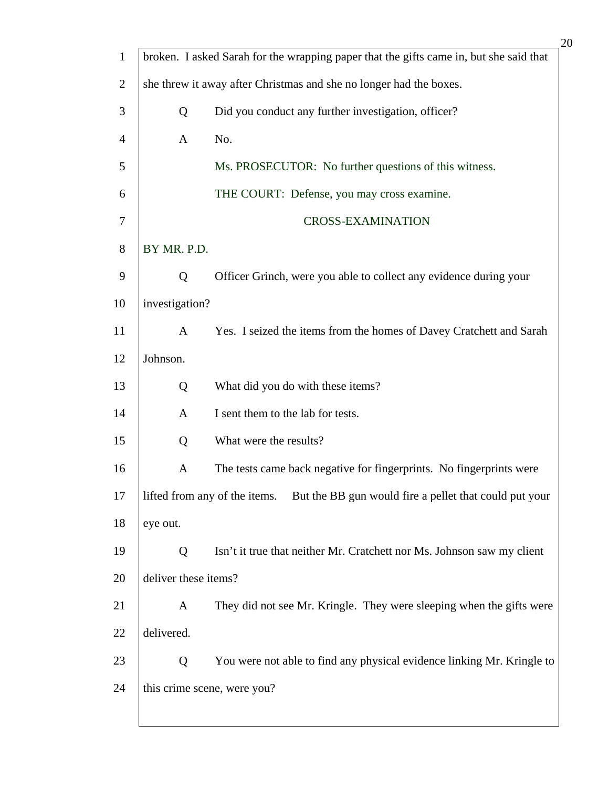| $\mathbf{1}$   |                      | broken. I asked Sarah for the wrapping paper that the gifts came in, but she said that |
|----------------|----------------------|----------------------------------------------------------------------------------------|
| $\overline{2}$ |                      | she threw it away after Christmas and she no longer had the boxes.                     |
| 3              | Q                    | Did you conduct any further investigation, officer?                                    |
| 4              | $\mathbf{A}$         | No.                                                                                    |
| 5              |                      | Ms. PROSECUTOR: No further questions of this witness.                                  |
| 6              |                      | THE COURT: Defense, you may cross examine.                                             |
| 7              |                      | <b>CROSS-EXAMINATION</b>                                                               |
| 8              | BY MR. P.D.          |                                                                                        |
| 9              | Q                    | Officer Grinch, were you able to collect any evidence during your                      |
| 10             | investigation?       |                                                                                        |
| 11             | $\mathbf{A}$         | Yes. I seized the items from the homes of Davey Cratchett and Sarah                    |
| 12             | Johnson.             |                                                                                        |
| 13             | Q                    | What did you do with these items?                                                      |
| 14             | A                    | I sent them to the lab for tests.                                                      |
| 15             | Q                    | What were the results?                                                                 |
| 16             | A                    | The tests came back negative for fingerprints. No fingerprints were                    |
| 17             |                      | lifted from any of the items. But the BB gun would fire a pellet that could put your   |
| 18             | eye out.             |                                                                                        |
| 19             | Q                    | Isn't it true that neither Mr. Cratchett nor Ms. Johnson saw my client                 |
| 20             | deliver these items? |                                                                                        |
| 21             | $\mathbf{A}$         | They did not see Mr. Kringle. They were sleeping when the gifts were                   |
| 22             | delivered.           |                                                                                        |
| 23             | Q                    | You were not able to find any physical evidence linking Mr. Kringle to                 |
| 24             |                      | this crime scene, were you?                                                            |
|                |                      |                                                                                        |

 $\mathsf{l}$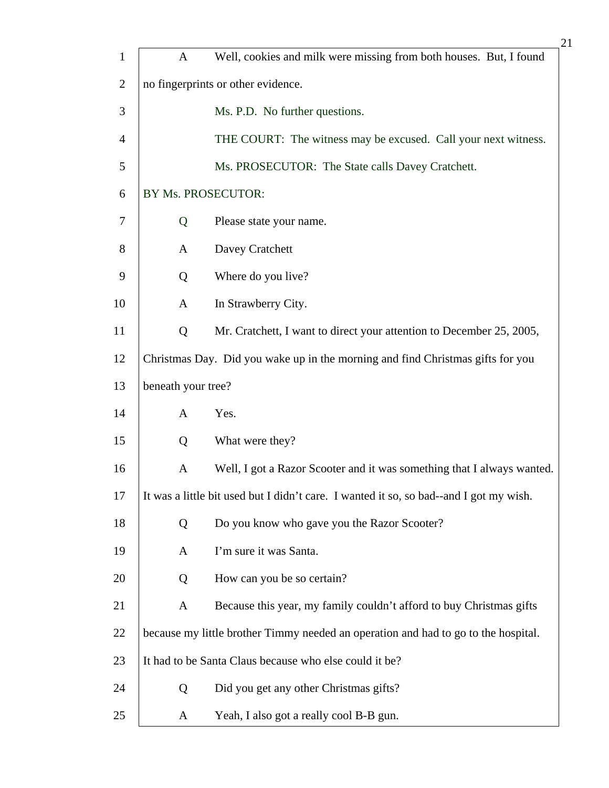|                |                    | 21                                                                                     |
|----------------|--------------------|----------------------------------------------------------------------------------------|
| $\mathbf{1}$   | $\mathbf{A}$       | Well, cookies and milk were missing from both houses. But, I found                     |
| $\overline{2}$ |                    | no fingerprints or other evidence.                                                     |
| 3              |                    | Ms. P.D. No further questions.                                                         |
| $\overline{4}$ |                    | THE COURT: The witness may be excused. Call your next witness.                         |
| 5              |                    | Ms. PROSECUTOR: The State calls Davey Cratchett.                                       |
| 6              | BY Ms. PROSECUTOR: |                                                                                        |
| 7              | Q                  | Please state your name.                                                                |
| 8              | A                  | Davey Cratchett                                                                        |
| 9              | Q                  | Where do you live?                                                                     |
| 10             | A                  | In Strawberry City.                                                                    |
| 11             | Q                  | Mr. Cratchett, I want to direct your attention to December 25, 2005,                   |
| 12             |                    | Christmas Day. Did you wake up in the morning and find Christmas gifts for you         |
| 13             | beneath your tree? |                                                                                        |
| 14             | A                  | Yes.                                                                                   |
| 15             | Q                  | What were they?                                                                        |
| 16             | A                  | Well, I got a Razor Scooter and it was something that I always wanted.                 |
| 17             |                    | It was a little bit used but I didn't care. I wanted it so, so bad--and I got my wish. |
| 18             | Q                  | Do you know who gave you the Razor Scooter?                                            |
| 19             | A                  | I'm sure it was Santa.                                                                 |
| 20             | Q                  | How can you be so certain?                                                             |
| 21             | A                  | Because this year, my family couldn't afford to buy Christmas gifts                    |
| 22             |                    | because my little brother Timmy needed an operation and had to go to the hospital.     |
| 23             |                    | It had to be Santa Claus because who else could it be?                                 |
| 24             | Q                  | Did you get any other Christmas gifts?                                                 |
| 25             | A                  | Yeah, I also got a really cool B-B gun.                                                |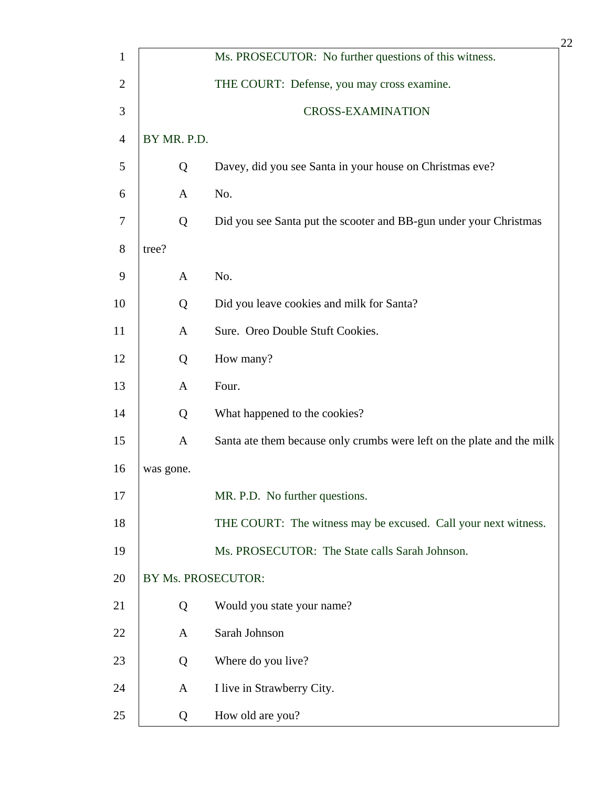|                |                    |                                                                        | 22 |
|----------------|--------------------|------------------------------------------------------------------------|----|
| $\mathbf{1}$   |                    | Ms. PROSECUTOR: No further questions of this witness.                  |    |
| $\overline{2}$ |                    | THE COURT: Defense, you may cross examine.                             |    |
| 3              |                    | <b>CROSS-EXAMINATION</b>                                               |    |
| $\overline{4}$ | BY MR. P.D.        |                                                                        |    |
| 5              | Q                  | Davey, did you see Santa in your house on Christmas eve?               |    |
| 6              | $\mathbf{A}$       | No.                                                                    |    |
| $\overline{7}$ | Q                  | Did you see Santa put the scooter and BB-gun under your Christmas      |    |
| 8              | tree?              |                                                                        |    |
| 9              | $\mathbf{A}$       | No.                                                                    |    |
| 10             | Q                  | Did you leave cookies and milk for Santa?                              |    |
| 11             | $\mathbf{A}$       | Sure. Oreo Double Stuft Cookies.                                       |    |
| 12             | Q                  | How many?                                                              |    |
| 13             | $\mathbf{A}$       | Four.                                                                  |    |
| 14             | Q                  | What happened to the cookies?                                          |    |
| 15             | $\mathbf{A}$       | Santa ate them because only crumbs were left on the plate and the milk |    |
| 16             | was gone.          |                                                                        |    |
| 17             |                    | MR. P.D. No further questions.                                         |    |
| 18             |                    | THE COURT: The witness may be excused. Call your next witness.         |    |
| 19             |                    | Ms. PROSECUTOR: The State calls Sarah Johnson.                         |    |
| 20             | BY Ms. PROSECUTOR: |                                                                        |    |
| 21             | Q                  | Would you state your name?                                             |    |
| 22             | $\mathbf{A}$       | Sarah Johnson                                                          |    |
| 23             | Q                  | Where do you live?                                                     |    |
| 24             | $\mathbf{A}$       | I live in Strawberry City.                                             |    |
| 25             | Q                  | How old are you?                                                       |    |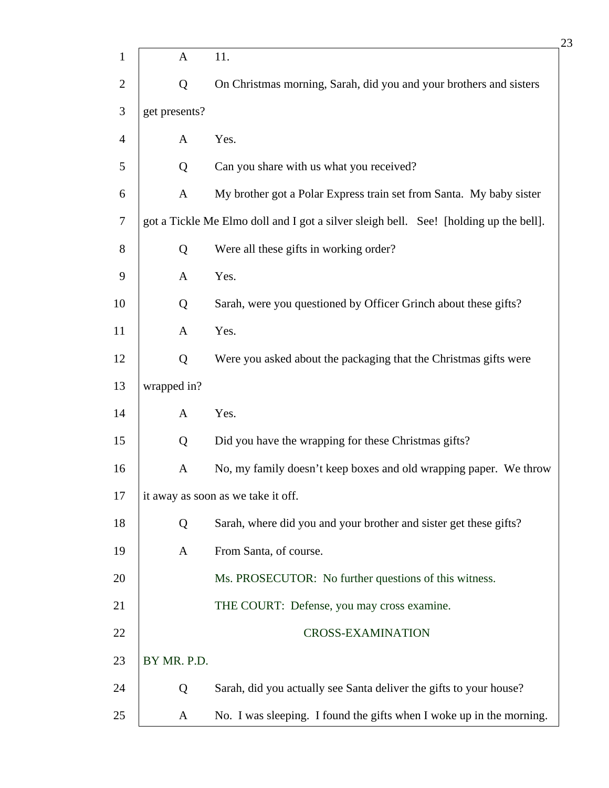|                |               |                                                                                       | 23 |
|----------------|---------------|---------------------------------------------------------------------------------------|----|
| $\mathbf{1}$   | $\mathbf{A}$  | 11.                                                                                   |    |
| $\overline{c}$ | Q             | On Christmas morning, Sarah, did you and your brothers and sisters                    |    |
| 3              | get presents? |                                                                                       |    |
| 4              | $\mathbf{A}$  | Yes.                                                                                  |    |
| 5              | Q             | Can you share with us what you received?                                              |    |
| 6              | $\mathbf{A}$  | My brother got a Polar Express train set from Santa. My baby sister                   |    |
| 7              |               | got a Tickle Me Elmo doll and I got a silver sleigh bell. See! [holding up the bell]. |    |
| 8              | Q             | Were all these gifts in working order?                                                |    |
| 9              | $\mathbf{A}$  | Yes.                                                                                  |    |
| 10             | Q             | Sarah, were you questioned by Officer Grinch about these gifts?                       |    |
| 11             | $\mathbf{A}$  | Yes.                                                                                  |    |
| 12             | Q             | Were you asked about the packaging that the Christmas gifts were                      |    |
| 13             | wrapped in?   |                                                                                       |    |
| 14             | $\mathbf{A}$  | Yes.                                                                                  |    |
| 15             | Q             | Did you have the wrapping for these Christmas gifts?                                  |    |
| 16             | A             | No, my family doesn't keep boxes and old wrapping paper. We throw                     |    |
| 17             |               | it away as soon as we take it off.                                                    |    |
| 18             | Q             | Sarah, where did you and your brother and sister get these gifts?                     |    |
| 19             | A             | From Santa, of course.                                                                |    |
| 20             |               | Ms. PROSECUTOR: No further questions of this witness.                                 |    |
| 21             |               | THE COURT: Defense, you may cross examine.                                            |    |
| 22             |               | <b>CROSS-EXAMINATION</b>                                                              |    |
| 23             | BY MR. P.D.   |                                                                                       |    |
| 24             | Q             | Sarah, did you actually see Santa deliver the gifts to your house?                    |    |
| 25             | A             | No. I was sleeping. I found the gifts when I woke up in the morning.                  |    |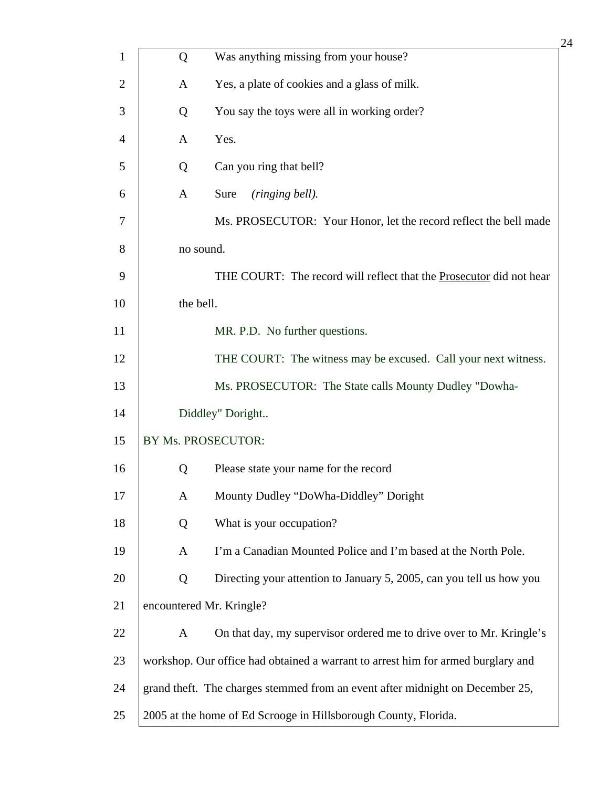|                |                          |                                                                                  | 24 |
|----------------|--------------------------|----------------------------------------------------------------------------------|----|
| $\mathbf{1}$   | Q                        | Was anything missing from your house?                                            |    |
| $\overline{c}$ | A                        | Yes, a plate of cookies and a glass of milk.                                     |    |
| 3              | Q                        | You say the toys were all in working order?                                      |    |
| $\overline{4}$ | A                        | Yes.                                                                             |    |
| 5              | Q                        | Can you ring that bell?                                                          |    |
| 6              | $\mathbf{A}$             | Sure<br>(ringing bell).                                                          |    |
| 7              |                          | Ms. PROSECUTOR: Your Honor, let the record reflect the bell made                 |    |
| 8              | no sound.                |                                                                                  |    |
| 9              |                          | THE COURT: The record will reflect that the <b>Prosecutor</b> did not hear       |    |
| 10             | the bell.                |                                                                                  |    |
| 11             |                          | MR. P.D. No further questions.                                                   |    |
| 12             |                          | THE COURT: The witness may be excused. Call your next witness.                   |    |
| 13             |                          | Ms. PROSECUTOR: The State calls Mounty Dudley "Dowha-                            |    |
| 14             |                          | Diddley" Doright                                                                 |    |
| 15             | BY Ms. PROSECUTOR:       |                                                                                  |    |
| 16             | Q                        | Please state your name for the record                                            |    |
| 17             | $\mathbf{A}$             | Mounty Dudley "DoWha-Diddley" Doright                                            |    |
| 18             | Q                        | What is your occupation?                                                         |    |
| 19             | A                        | I'm a Canadian Mounted Police and I'm based at the North Pole.                   |    |
| 20             | Q                        | Directing your attention to January 5, 2005, can you tell us how you             |    |
| 21             | encountered Mr. Kringle? |                                                                                  |    |
| 22             | $\mathbf{A}$             | On that day, my supervisor ordered me to drive over to Mr. Kringle's             |    |
| 23             |                          | workshop. Our office had obtained a warrant to arrest him for armed burglary and |    |
| 24             |                          | grand theft. The charges stemmed from an event after midnight on December 25,    |    |
| 25             |                          | 2005 at the home of Ed Scrooge in Hillsborough County, Florida.                  |    |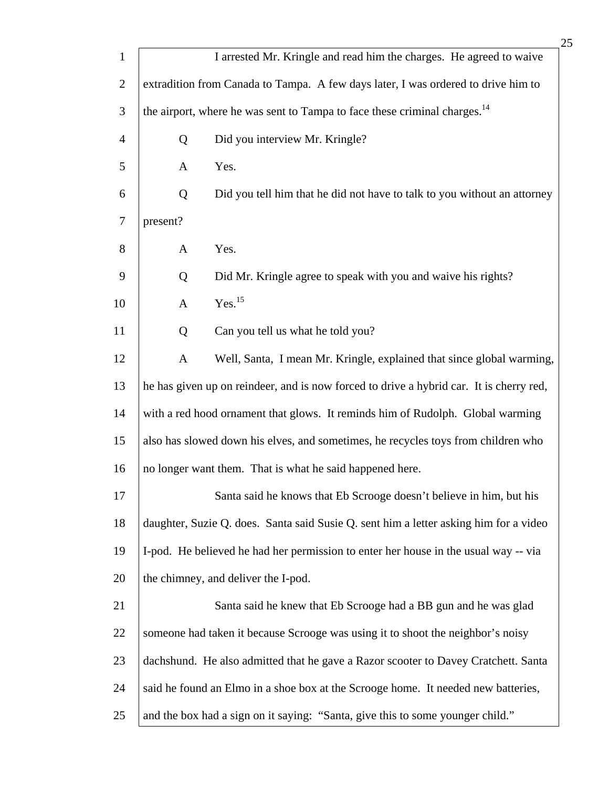|                |              |                                                                                         | 25 |
|----------------|--------------|-----------------------------------------------------------------------------------------|----|
| $\mathbf{1}$   |              | I arrested Mr. Kringle and read him the charges. He agreed to waive                     |    |
| $\overline{2}$ |              | extradition from Canada to Tampa. A few days later, I was ordered to drive him to       |    |
| 3              |              | the airport, where he was sent to Tampa to face these criminal charges. <sup>14</sup>   |    |
| $\overline{4}$ | Q            | Did you interview Mr. Kringle?                                                          |    |
| 5              | A            | Yes.                                                                                    |    |
| 6              | Q            | Did you tell him that he did not have to talk to you without an attorney                |    |
| $\tau$         | present?     |                                                                                         |    |
| 8              | $\mathbf{A}$ | Yes.                                                                                    |    |
| 9              | Q            | Did Mr. Kringle agree to speak with you and waive his rights?                           |    |
| 10             | $\mathbf{A}$ | Yes. <sup>15</sup>                                                                      |    |
| 11             | Q            | Can you tell us what he told you?                                                       |    |
| 12             | $\mathbf{A}$ | Well, Santa, I mean Mr. Kringle, explained that since global warming,                   |    |
| 13             |              | he has given up on reindeer, and is now forced to drive a hybrid car. It is cherry red, |    |
| 14             |              | with a red hood ornament that glows. It reminds him of Rudolph. Global warming          |    |
| 15             |              | also has slowed down his elves, and sometimes, he recycles toys from children who       |    |
| 16             |              | no longer want them. That is what he said happened here.                                |    |
| 17             |              | Santa said he knows that Eb Scrooge doesn't believe in him, but his                     |    |
| 18             |              | daughter, Suzie Q. does. Santa said Susie Q. sent him a letter asking him for a video   |    |
| 19             |              | I-pod. He believed he had her permission to enter her house in the usual way -- via     |    |
| 20             |              | the chimney, and deliver the I-pod.                                                     |    |
| 21             |              | Santa said he knew that Eb Scrooge had a BB gun and he was glad                         |    |
| 22             |              | someone had taken it because Scrooge was using it to shoot the neighbor's noisy         |    |
| 23             |              | dachshund. He also admitted that he gave a Razor scooter to Davey Cratchett. Santa      |    |
| 24             |              | said he found an Elmo in a shoe box at the Scrooge home. It needed new batteries,       |    |
| 25             |              | and the box had a sign on it saying: "Santa, give this to some younger child."          |    |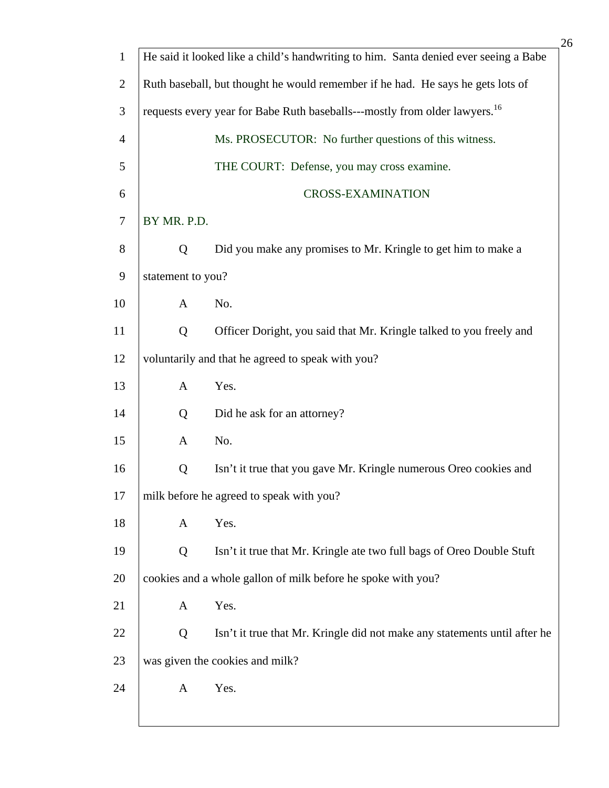|                |                   | 26                                                                                     |
|----------------|-------------------|----------------------------------------------------------------------------------------|
| $\mathbf{1}$   |                   | He said it looked like a child's handwriting to him. Santa denied ever seeing a Babe   |
| $\overline{2}$ |                   | Ruth baseball, but thought he would remember if he had. He says he gets lots of        |
| 3              |                   | requests every year for Babe Ruth baseballs---mostly from older lawyers. <sup>16</sup> |
| $\overline{4}$ |                   | Ms. PROSECUTOR: No further questions of this witness.                                  |
| 5              |                   | THE COURT: Defense, you may cross examine.                                             |
| 6              |                   | <b>CROSS-EXAMINATION</b>                                                               |
| $\overline{7}$ | BY MR. P.D.       |                                                                                        |
| 8              | Q                 | Did you make any promises to Mr. Kringle to get him to make a                          |
| 9              | statement to you? |                                                                                        |
| 10             | $\mathbf{A}$      | No.                                                                                    |
| 11             | Q                 | Officer Doright, you said that Mr. Kringle talked to you freely and                    |
| 12             |                   | voluntarily and that he agreed to speak with you?                                      |
| 13             | $\mathbf{A}$      | Yes.                                                                                   |
| 14             | Q                 | Did he ask for an attorney?                                                            |
| 15             | $\mathbf{A}$      | No.                                                                                    |
| 16             | Q                 | Isn't it true that you gave Mr. Kringle numerous Oreo cookies and                      |
| 17             |                   | milk before he agreed to speak with you?                                               |
| 18             | A                 | Yes.                                                                                   |
| 19             | Q                 | Isn't it true that Mr. Kringle ate two full bags of Oreo Double Stuft                  |
| 20             |                   | cookies and a whole gallon of milk before he spoke with you?                           |
| 21             | $\mathbf{A}$      | Yes.                                                                                   |
| 22             | Q                 | Isn't it true that Mr. Kringle did not make any statements until after he              |
| 23             |                   | was given the cookies and milk?                                                        |
| 24             | A                 | Yes.                                                                                   |
|                |                   |                                                                                        |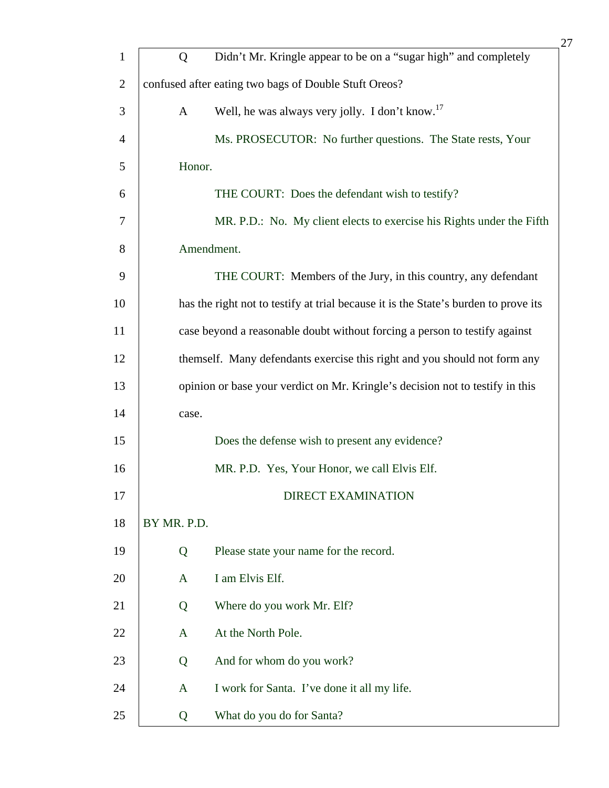| $\mathbf{1}$   | Q            | Didn't Mr. Kringle appear to be on a "sugar high" and completely                    |
|----------------|--------------|-------------------------------------------------------------------------------------|
| $\overline{2}$ |              | confused after eating two bags of Double Stuft Oreos?                               |
| 3              | $\mathbf{A}$ | Well, he was always very jolly. I don't know. <sup>17</sup>                         |
| $\overline{4}$ |              | Ms. PROSECUTOR: No further questions. The State rests, Your                         |
| 5              | Honor.       |                                                                                     |
| 6              |              | THE COURT: Does the defendant wish to testify?                                      |
| $\overline{7}$ |              | MR. P.D.: No. My client elects to exercise his Rights under the Fifth               |
| 8              |              | Amendment.                                                                          |
| 9              |              | THE COURT: Members of the Jury, in this country, any defendant                      |
| 10             |              | has the right not to testify at trial because it is the State's burden to prove its |
| 11             |              | case beyond a reasonable doubt without forcing a person to testify against          |
| 12             |              | themself. Many defendants exercise this right and you should not form any           |
| 13             |              | opinion or base your verdict on Mr. Kringle's decision not to testify in this       |
| 14             | case.        |                                                                                     |
| 15             |              | Does the defense wish to present any evidence?                                      |
| 16             |              | MR. P.D. Yes, Your Honor, we call Elvis Elf.                                        |
| 17             |              | <b>DIRECT EXAMINATION</b>                                                           |
| 18             | BY MR. P.D.  |                                                                                     |
| 19             | Q            | Please state your name for the record.                                              |
| 20             | $\mathbf{A}$ | I am Elvis Elf.                                                                     |
| 21             | Q            | Where do you work Mr. Elf?                                                          |
| 22             | $\mathbf{A}$ | At the North Pole.                                                                  |
| 23             | Q            | And for whom do you work?                                                           |
| 24             | $\mathbf{A}$ | I work for Santa. I've done it all my life.                                         |
| 25             | Q            | What do you do for Santa?                                                           |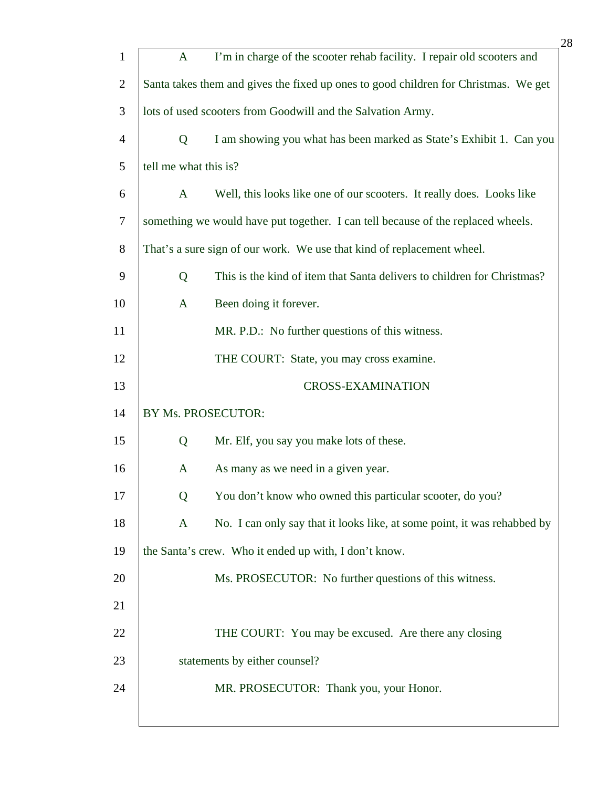|                |                       | 28                                                                                  |
|----------------|-----------------------|-------------------------------------------------------------------------------------|
| $\mathbf{1}$   | $\mathbf{A}$          | I'm in charge of the scooter rehab facility. I repair old scooters and              |
| $\overline{2}$ |                       | Santa takes them and gives the fixed up ones to good children for Christmas. We get |
| 3              |                       | lots of used scooters from Goodwill and the Salvation Army.                         |
| $\overline{4}$ | $\mathbf Q$           | I am showing you what has been marked as State's Exhibit 1. Can you                 |
| 5              | tell me what this is? |                                                                                     |
| 6              | $\mathbf{A}$          | Well, this looks like one of our scooters. It really does. Looks like               |
| 7              |                       | something we would have put together. I can tell because of the replaced wheels.    |
| 8              |                       | That's a sure sign of our work. We use that kind of replacement wheel.              |
| 9              | Q                     | This is the kind of item that Santa delivers to children for Christmas?             |
| 10             | $\mathbf{A}$          | Been doing it forever.                                                              |
| 11             |                       | MR. P.D.: No further questions of this witness.                                     |
| 12             |                       | THE COURT: State, you may cross examine.                                            |
| 13             |                       | <b>CROSS-EXAMINATION</b>                                                            |
| 14             | BY Ms. PROSECUTOR:    |                                                                                     |
| 15             | Q                     | Mr. Elf, you say you make lots of these.                                            |
| 16             | $\mathbf{A}$          | As many as we need in a given year.                                                 |
| 17             | Q                     | You don't know who owned this particular scooter, do you?                           |
| 18             | $\mathbf{A}$          | No. I can only say that it looks like, at some point, it was rehabbed by            |
| 19             |                       | the Santa's crew. Who it ended up with, I don't know.                               |
| 20             |                       | Ms. PROSECUTOR: No further questions of this witness.                               |
| 21             |                       |                                                                                     |
| 22             |                       | THE COURT: You may be excused. Are there any closing                                |
| 23             |                       | statements by either counsel?                                                       |
| 24             |                       | MR. PROSECUTOR: Thank you, your Honor.                                              |
|                |                       |                                                                                     |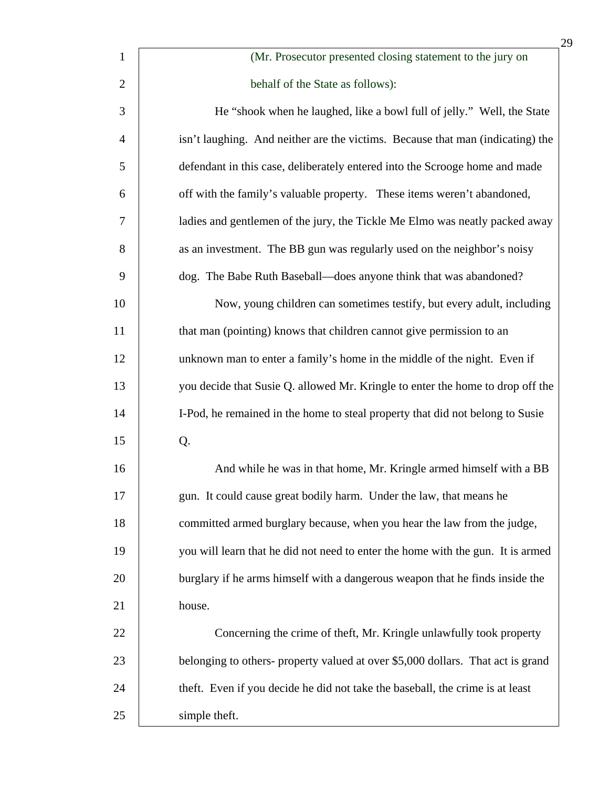|                |                                                                                 | 29 |
|----------------|---------------------------------------------------------------------------------|----|
| $\mathbf{1}$   | (Mr. Prosecutor presented closing statement to the jury on                      |    |
| $\overline{2}$ | behalf of the State as follows):                                                |    |
| 3              | He "shook when he laughed, like a bowl full of jelly." Well, the State          |    |
| $\overline{4}$ | isn't laughing. And neither are the victims. Because that man (indicating) the  |    |
| 5              | defendant in this case, deliberately entered into the Scrooge home and made     |    |
| 6              | off with the family's valuable property. These items weren't abandoned,         |    |
| 7              | ladies and gentlemen of the jury, the Tickle Me Elmo was neatly packed away     |    |
| 8              | as an investment. The BB gun was regularly used on the neighbor's noisy         |    |
| 9              | dog. The Babe Ruth Baseball—does anyone think that was abandoned?               |    |
| 10             | Now, young children can sometimes testify, but every adult, including           |    |
| 11             | that man (pointing) knows that children cannot give permission to an            |    |
| 12             | unknown man to enter a family's home in the middle of the night. Even if        |    |
| 13             | you decide that Susie Q. allowed Mr. Kringle to enter the home to drop off the  |    |
| 14             | I-Pod, he remained in the home to steal property that did not belong to Susie   |    |
| 15             | Q.                                                                              |    |
| 16             | And while he was in that home, Mr. Kringle armed himself with a BB              |    |
| 17             | gun. It could cause great bodily harm. Under the law, that means he             |    |
| 18             | committed armed burglary because, when you hear the law from the judge,         |    |
| 19             | you will learn that he did not need to enter the home with the gun. It is armed |    |
| 20             | burglary if he arms himself with a dangerous weapon that he finds inside the    |    |
| 21             | house.                                                                          |    |
| 22             | Concerning the crime of theft, Mr. Kringle unlawfully took property             |    |
| 23             | belonging to others- property valued at over \$5,000 dollars. That act is grand |    |
| 24             | theft. Even if you decide he did not take the baseball, the crime is at least   |    |
| 25             | simple theft.                                                                   |    |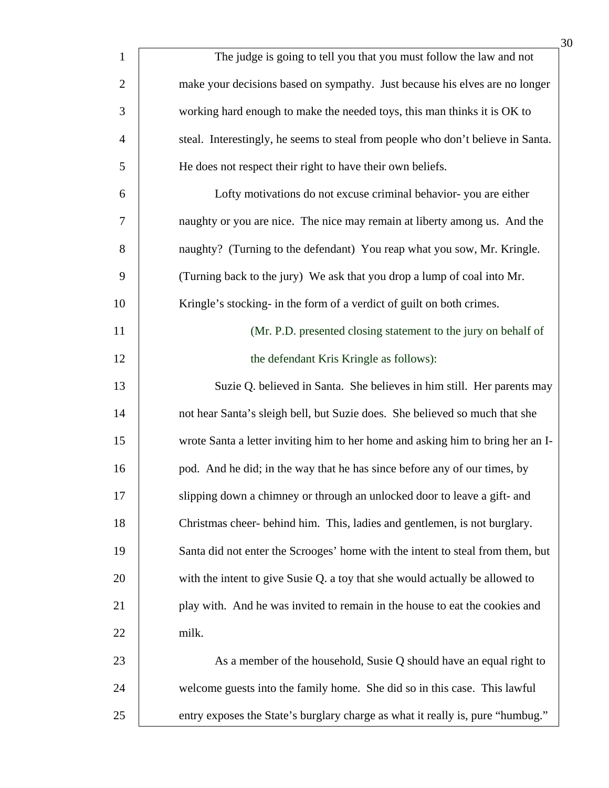|                | 30                                                                              |
|----------------|---------------------------------------------------------------------------------|
| $\mathbf{1}$   | The judge is going to tell you that you must follow the law and not             |
| $\overline{2}$ | make your decisions based on sympathy. Just because his elves are no longer     |
| 3              | working hard enough to make the needed toys, this man thinks it is OK to        |
| $\overline{4}$ | steal. Interestingly, he seems to steal from people who don't believe in Santa. |
| 5              | He does not respect their right to have their own beliefs.                      |
| 6              | Lofty motivations do not excuse criminal behavior-you are either                |
| 7              | naughty or you are nice. The nice may remain at liberty among us. And the       |
| 8              | naughty? (Turning to the defendant) You reap what you sow, Mr. Kringle.         |
| 9              | (Turning back to the jury) We ask that you drop a lump of coal into Mr.         |
| 10             | Kringle's stocking- in the form of a verdict of guilt on both crimes.           |
| 11             | (Mr. P.D. presented closing statement to the jury on behalf of                  |
| 12             | the defendant Kris Kringle as follows):                                         |
| 13             | Suzie Q. believed in Santa. She believes in him still. Her parents may          |
| 14             | not hear Santa's sleigh bell, but Suzie does. She believed so much that she     |
| 15             | wrote Santa a letter inviting him to her home and asking him to bring her an I- |
| 16             | pod. And he did; in the way that he has since before any of our times, by       |
| 17             | slipping down a chimney or through an unlocked door to leave a gift- and        |
| 18             | Christmas cheer-behind him. This, ladies and gentlemen, is not burglary.        |
| 19             | Santa did not enter the Scrooges' home with the intent to steal from them, but  |
| 20             | with the intent to give Susie Q. a toy that she would actually be allowed to    |
| 21             | play with. And he was invited to remain in the house to eat the cookies and     |
| 22             | milk.                                                                           |
| 23             | As a member of the household, Susie Q should have an equal right to             |
| 24             | welcome guests into the family home. She did so in this case. This lawful       |
| 25             | entry exposes the State's burglary charge as what it really is, pure "humbug."  |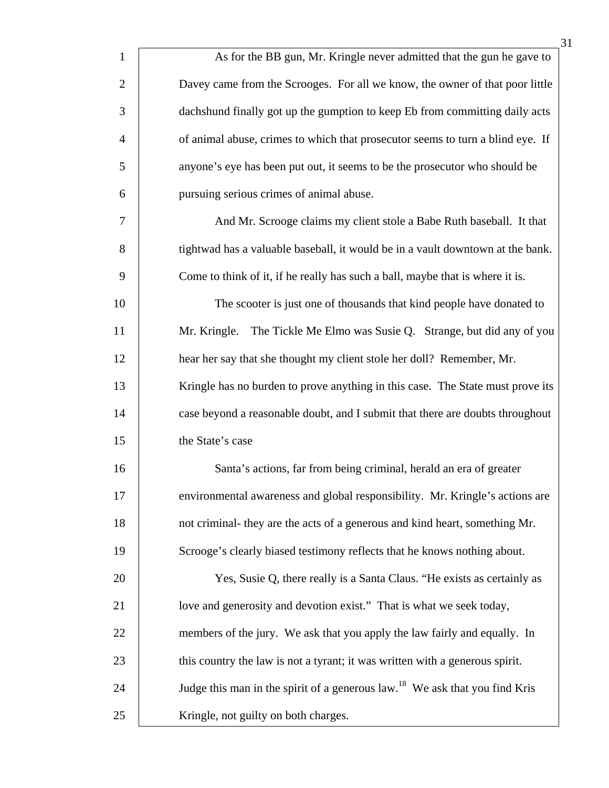| $\mathbf{1}$   | As for the BB gun, Mr. Kringle never admitted that the gun he gave to                   |
|----------------|-----------------------------------------------------------------------------------------|
| $\overline{c}$ | Davey came from the Scrooges. For all we know, the owner of that poor little            |
| 3              | dachshund finally got up the gumption to keep Eb from committing daily acts             |
| $\overline{4}$ | of animal abuse, crimes to which that prosecutor seems to turn a blind eye. If          |
| 5              | anyone's eye has been put out, it seems to be the prosecutor who should be              |
| 6              | pursuing serious crimes of animal abuse.                                                |
| 7              | And Mr. Scrooge claims my client stole a Babe Ruth baseball. It that                    |
| 8              | tightwad has a valuable baseball, it would be in a vault downtown at the bank.          |
| 9              | Come to think of it, if he really has such a ball, maybe that is where it is.           |
| 10             | The scooter is just one of thousands that kind people have donated to                   |
| 11             | The Tickle Me Elmo was Susie Q. Strange, but did any of you<br>Mr. Kringle.             |
| 12             | hear her say that she thought my client stole her doll? Remember, Mr.                   |
| 13             | Kringle has no burden to prove anything in this case. The State must prove its          |
| 14             | case beyond a reasonable doubt, and I submit that there are doubts throughout           |
| 15             | the State's case                                                                        |
| 16             | Santa's actions, far from being criminal, herald an era of greater                      |
| 17             | environmental awareness and global responsibility. Mr. Kringle's actions are            |
| 18             | not criminal- they are the acts of a generous and kind heart, something Mr.             |
| 19             | Scrooge's clearly biased testimony reflects that he knows nothing about.                |
| 20             | Yes, Susie Q, there really is a Santa Claus. "He exists as certainly as                 |
| 21             | love and generosity and devotion exist." That is what we seek today,                    |
| 22             | members of the jury. We ask that you apply the law fairly and equally. In               |
| 23             | this country the law is not a tyrant; it was written with a generous spirit.            |
| 24             | Judge this man in the spirit of a generous law. <sup>18</sup> We ask that you find Kris |
| 25             | Kringle, not guilty on both charges.                                                    |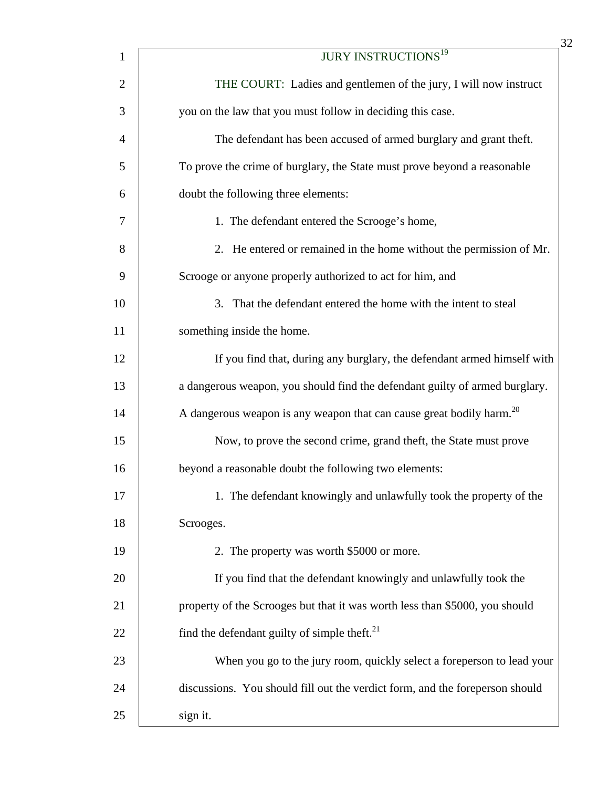| $\mathbf{1}$   | <b>JURY INSTRUCTIONS<sup>19</sup></b>                                            |
|----------------|----------------------------------------------------------------------------------|
| $\overline{2}$ | THE COURT: Ladies and gentlemen of the jury, I will now instruct                 |
| 3              | you on the law that you must follow in deciding this case.                       |
| $\overline{4}$ | The defendant has been accused of armed burglary and grant theft.                |
| 5              | To prove the crime of burglary, the State must prove beyond a reasonable         |
| 6              | doubt the following three elements:                                              |
| 7              | 1. The defendant entered the Scrooge's home,                                     |
| 8              | 2. He entered or remained in the home without the permission of Mr.              |
| 9              | Scrooge or anyone properly authorized to act for him, and                        |
| 10             | 3. That the defendant entered the home with the intent to steal                  |
| 11             | something inside the home.                                                       |
| 12             | If you find that, during any burglary, the defendant armed himself with          |
| 13             | a dangerous weapon, you should find the defendant guilty of armed burglary.      |
| 14             | A dangerous weapon is any weapon that can cause great bodily harm. <sup>20</sup> |
| 15             | Now, to prove the second crime, grand theft, the State must prove                |
| 16             | beyond a reasonable doubt the following two elements:                            |
| 17             | 1. The defendant knowingly and unlawfully took the property of the               |
| 18             | Scrooges.                                                                        |
| 19             | 2. The property was worth \$5000 or more.                                        |
| 20             | If you find that the defendant knowingly and unlawfully took the                 |
| 21             | property of the Scrooges but that it was worth less than \$5000, you should      |
| 22             | find the defendant guilty of simple theft. $^{21}$                               |
| 23             | When you go to the jury room, quickly select a foreperson to lead your           |
| 24             | discussions. You should fill out the verdict form, and the foreperson should     |
| 25             | sign it.                                                                         |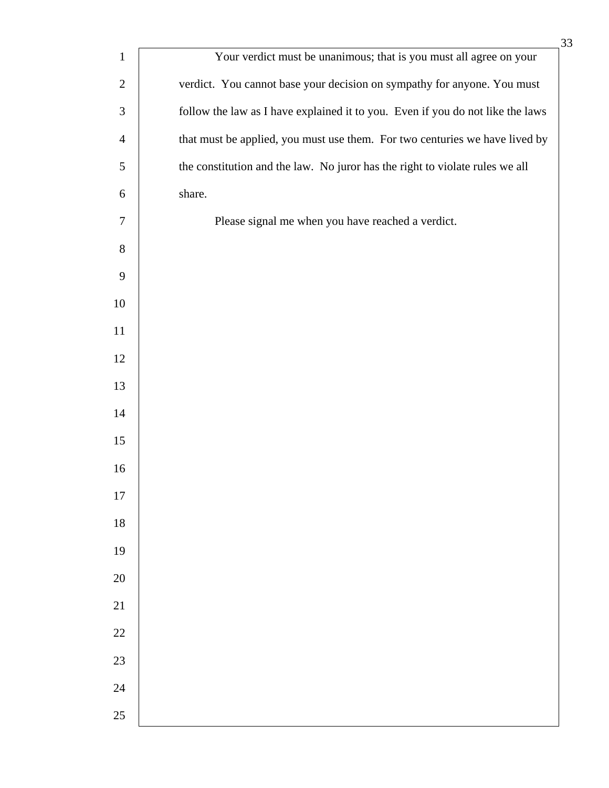|                | 33                                                                             |
|----------------|--------------------------------------------------------------------------------|
| $\mathbf{1}$   | Your verdict must be unanimous; that is you must all agree on your             |
| $\mathbf{2}$   | verdict. You cannot base your decision on sympathy for anyone. You must        |
| 3              | follow the law as I have explained it to you. Even if you do not like the laws |
| $\overline{4}$ | that must be applied, you must use them. For two centuries we have lived by    |
| 5              | the constitution and the law. No juror has the right to violate rules we all   |
| 6              | share.                                                                         |
| 7              | Please signal me when you have reached a verdict.                              |
| $8\,$          |                                                                                |
| 9              |                                                                                |
| 10             |                                                                                |
| 11             |                                                                                |
| 12             |                                                                                |
| 13             |                                                                                |
| 14             |                                                                                |
| 15             |                                                                                |
| 16             |                                                                                |
| 17             |                                                                                |
| 18             |                                                                                |
| 19             |                                                                                |
| 20             |                                                                                |
| 21             |                                                                                |
| 22             |                                                                                |
| 23             |                                                                                |
| 24             |                                                                                |
| 25             |                                                                                |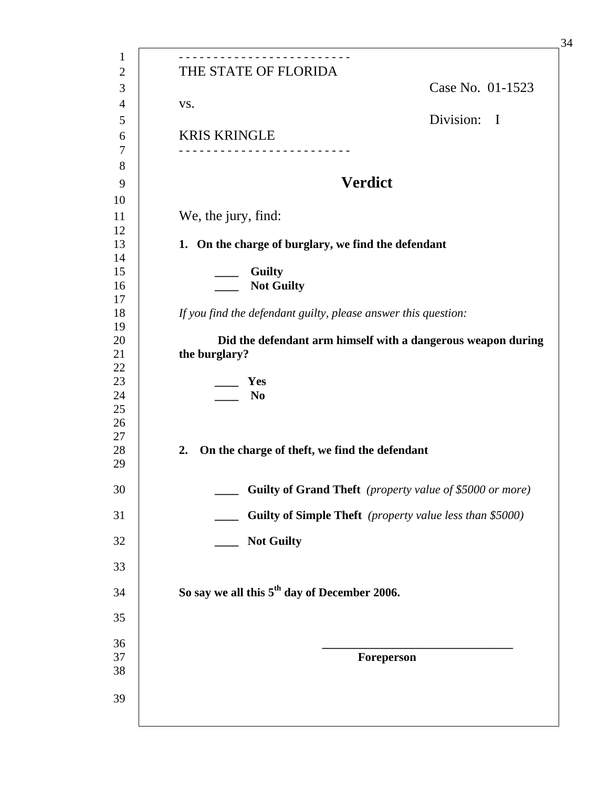| THE STATE OF FLORIDA                                                          | Case No. 01-1523                                         |  |
|-------------------------------------------------------------------------------|----------------------------------------------------------|--|
| VS.                                                                           |                                                          |  |
| <b>KRIS KRINGLE</b>                                                           | Division: I                                              |  |
|                                                                               | <b>Verdict</b>                                           |  |
| We, the jury, find:                                                           |                                                          |  |
| 1. On the charge of burglary, we find the defendant                           |                                                          |  |
| <b>Guilty</b><br><b>Not Guilty</b>                                            |                                                          |  |
| If you find the defendant guilty, please answer this question:                |                                                          |  |
| Did the defendant arm himself with a dangerous weapon during<br>the burglary? |                                                          |  |
| Yes<br>N <sub>0</sub>                                                         |                                                          |  |
| On the charge of theft, we find the defendant<br>2.                           |                                                          |  |
|                                                                               | Guilty of Grand Theft (property value of \$5000 or more) |  |
| Guilty of Simple Theft (property value less than \$5000)                      |                                                          |  |
| <b>Not Guilty</b>                                                             |                                                          |  |
|                                                                               |                                                          |  |
| So say we all this 5 <sup>th</sup> day of December 2006.                      |                                                          |  |
|                                                                               |                                                          |  |
|                                                                               | Foreperson                                               |  |
|                                                                               |                                                          |  |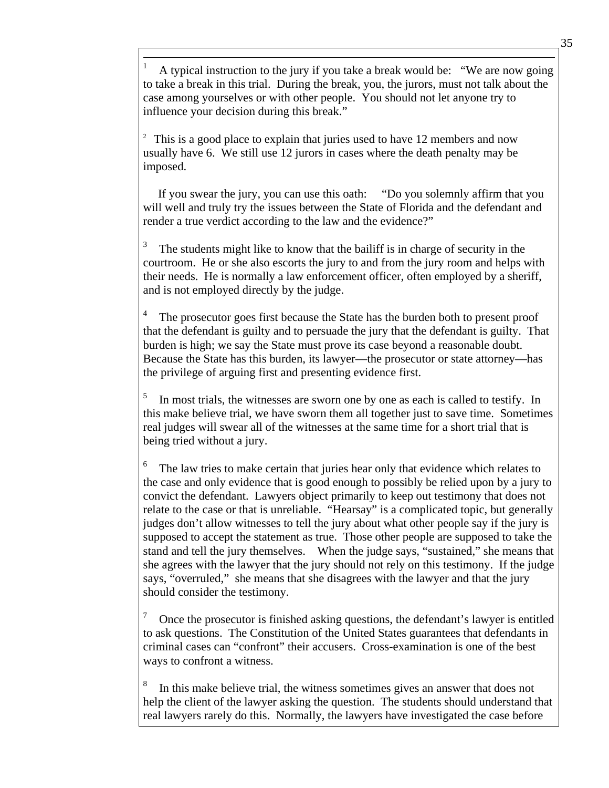1 A typical instruction to the jury if you take a break would be: "We are now going to take a break in this trial. During the break, you, the jurors, must not talk about the case among yourselves or with other people. You should not let anyone try to influence your decision during this break."

<sup>2</sup> This is a good place to explain that juries used to have 12 members and now usually have 6. We still use 12 jurors in cases where the death penalty may be imposed.

 If you swear the jury, you can use this oath: "Do you solemnly affirm that you will well and truly try the issues between the State of Florida and the defendant and render a true verdict according to the law and the evidence?"

3 The students might like to know that the bailiff is in charge of security in the courtroom. He or she also escorts the jury to and from the jury room and helps with their needs. He is normally a law enforcement officer, often employed by a sheriff, and is not employed directly by the judge.

4 The prosecutor goes first because the State has the burden both to present proof that the defendant is guilty and to persuade the jury that the defendant is guilty. That burden is high; we say the State must prove its case beyond a reasonable doubt. Because the State has this burden, its lawyer—the prosecutor or state attorney—has the privilege of arguing first and presenting evidence first.

5 In most trials, the witnesses are sworn one by one as each is called to testify. In this make believe trial, we have sworn them all together just to save time. Sometimes real judges will swear all of the witnesses at the same time for a short trial that is being tried without a jury.

6 The law tries to make certain that juries hear only that evidence which relates to the case and only evidence that is good enough to possibly be relied upon by a jury to convict the defendant. Lawyers object primarily to keep out testimony that does not relate to the case or that is unreliable. "Hearsay" is a complicated topic, but generally judges don't allow witnesses to tell the jury about what other people say if the jury is supposed to accept the statement as true. Those other people are supposed to take the stand and tell the jury themselves. When the judge says, "sustained," she means that she agrees with the lawyer that the jury should not rely on this testimony. If the judge says, "overruled," she means that she disagrees with the lawyer and that the jury should consider the testimony.

7 Once the prosecutor is finished asking questions, the defendant's lawyer is entitled to ask questions. The Constitution of the United States guarantees that defendants in criminal cases can "confront" their accusers. Cross-examination is one of the best ways to confront a witness.

8 In this make believe trial, the witness sometimes gives an answer that does not help the client of the lawyer asking the question. The students should understand that real lawyers rarely do this. Normally, the lawyers have investigated the case before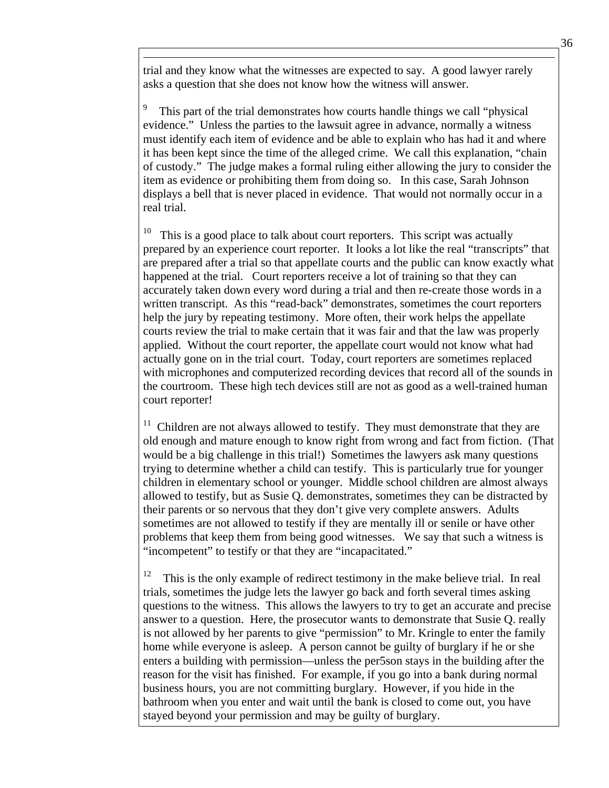trial and they know what the witnesses are expected to say. A good lawyer rarely asks a question that she does not know how the witness will answer.

 $\overline{a}$ 

9 This part of the trial demonstrates how courts handle things we call "physical evidence." Unless the parties to the lawsuit agree in advance, normally a witness must identify each item of evidence and be able to explain who has had it and where it has been kept since the time of the alleged crime. We call this explanation, "chain of custody." The judge makes a formal ruling either allowing the jury to consider the item as evidence or prohibiting them from doing so. In this case, Sarah Johnson displays a bell that is never placed in evidence. That would not normally occur in a real trial.

 $10$  This is a good place to talk about court reporters. This script was actually prepared by an experience court reporter. It looks a lot like the real "transcripts" that are prepared after a trial so that appellate courts and the public can know exactly what happened at the trial. Court reporters receive a lot of training so that they can accurately taken down every word during a trial and then re-create those words in a written transcript. As this "read-back" demonstrates, sometimes the court reporters help the jury by repeating testimony. More often, their work helps the appellate courts review the trial to make certain that it was fair and that the law was properly applied. Without the court reporter, the appellate court would not know what had actually gone on in the trial court. Today, court reporters are sometimes replaced with microphones and computerized recording devices that record all of the sounds in the courtroom. These high tech devices still are not as good as a well-trained human court reporter!

 $11$  Children are not always allowed to testify. They must demonstrate that they are old enough and mature enough to know right from wrong and fact from fiction. (That would be a big challenge in this trial!) Sometimes the lawyers ask many questions trying to determine whether a child can testify. This is particularly true for younger children in elementary school or younger. Middle school children are almost always allowed to testify, but as Susie Q. demonstrates, sometimes they can be distracted by their parents or so nervous that they don't give very complete answers. Adults sometimes are not allowed to testify if they are mentally ill or senile or have other problems that keep them from being good witnesses. We say that such a witness is "incompetent" to testify or that they are "incapacitated."

 $12$  This is the only example of redirect testimony in the make believe trial. In real trials, sometimes the judge lets the lawyer go back and forth several times asking questions to the witness. This allows the lawyers to try to get an accurate and precise answer to a question. Here, the prosecutor wants to demonstrate that Susie Q. really is not allowed by her parents to give "permission" to Mr. Kringle to enter the family home while everyone is asleep. A person cannot be guilty of burglary if he or she enters a building with permission—unless the per5son stays in the building after the reason for the visit has finished. For example, if you go into a bank during normal business hours, you are not committing burglary. However, if you hide in the bathroom when you enter and wait until the bank is closed to come out, you have stayed beyond your permission and may be guilty of burglary.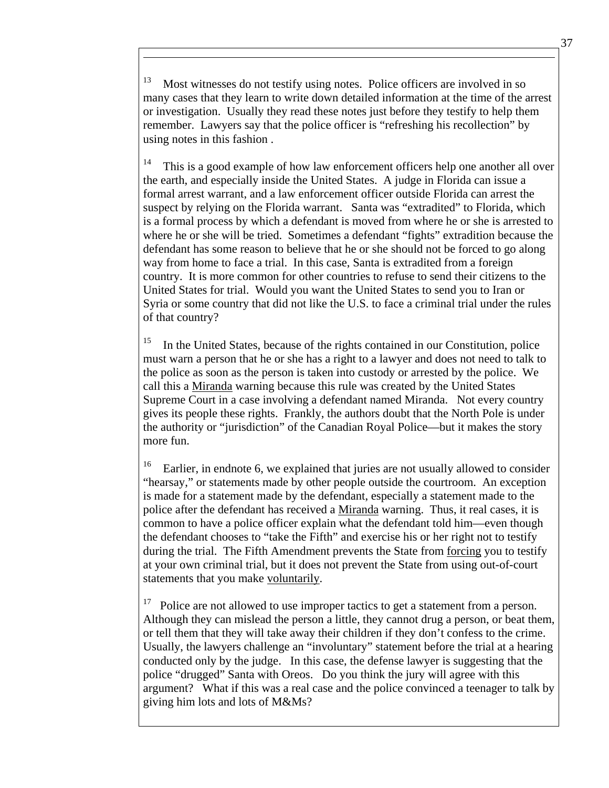Most witnesses do not testify using notes. Police officers are involved in so many cases that they learn to write down detailed information at the time of the arrest or investigation. Usually they read these notes just before they testify to help them remember. Lawyers say that the police officer is "refreshing his recollection" by using notes in this fashion .

 $\overline{a}$ 

 $14$  This is a good example of how law enforcement officers help one another all over the earth, and especially inside the United States. A judge in Florida can issue a formal arrest warrant, and a law enforcement officer outside Florida can arrest the suspect by relying on the Florida warrant. Santa was "extradited" to Florida, which is a formal process by which a defendant is moved from where he or she is arrested to where he or she will be tried. Sometimes a defendant "fights" extradition because the defendant has some reason to believe that he or she should not be forced to go along way from home to face a trial. In this case, Santa is extradited from a foreign country. It is more common for other countries to refuse to send their citizens to the United States for trial. Would you want the United States to send you to Iran or Syria or some country that did not like the U.S. to face a criminal trial under the rules of that country?

<sup>15</sup> In the United States, because of the rights contained in our Constitution, police must warn a person that he or she has a right to a lawyer and does not need to talk to the police as soon as the person is taken into custody or arrested by the police. We call this a Miranda warning because this rule was created by the United States Supreme Court in a case involving a defendant named Miranda. Not every country gives its people these rights. Frankly, the authors doubt that the North Pole is under the authority or "jurisdiction" of the Canadian Royal Police—but it makes the story more fun.

<sup>16</sup> Earlier, in endnote 6, we explained that juries are not usually allowed to consider "hearsay," or statements made by other people outside the courtroom. An exception is made for a statement made by the defendant, especially a statement made to the police after the defendant has received a Miranda warning. Thus, it real cases, it is common to have a police officer explain what the defendant told him—even though the defendant chooses to "take the Fifth" and exercise his or her right not to testify during the trial. The Fifth Amendment prevents the State from forcing you to testify at your own criminal trial, but it does not prevent the State from using out-of-court statements that you make voluntarily.

 $17$  Police are not allowed to use improper tactics to get a statement from a person. Although they can mislead the person a little, they cannot drug a person, or beat them, or tell them that they will take away their children if they don't confess to the crime. Usually, the lawyers challenge an "involuntary" statement before the trial at a hearing conducted only by the judge. In this case, the defense lawyer is suggesting that the police "drugged" Santa with Oreos. Do you think the jury will agree with this argument? What if this was a real case and the police convinced a teenager to talk by giving him lots and lots of M&Ms?

37